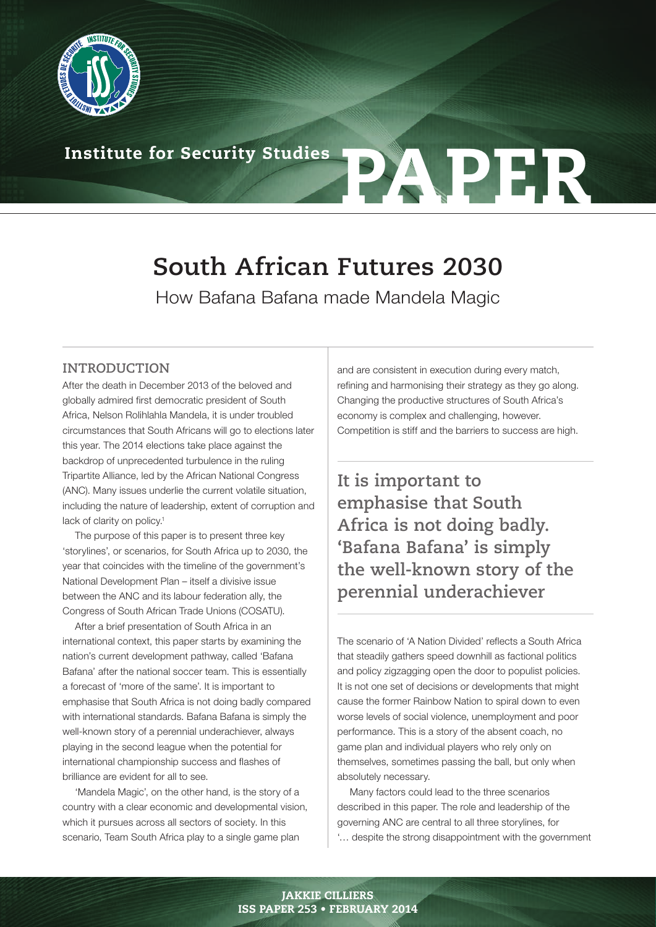

# Institute for Security Studies **PAPFR**

# **South African Futures 2030**

How Bafana Bafana made Mandela Magic

# **INTRODUCTION**

After the death in December 2013 of the beloved and globally admired first democratic president of South Africa, Nelson Rolihlahla Mandela, it is under troubled circumstances that South Africans will go to elections later this year. The 2014 elections take place against the backdrop of unprecedented turbulence in the ruling Tripartite Alliance, led by the African National Congress (ANC). Many issues underlie the current volatile situation, including the nature of leadership, extent of corruption and lack of clarity on policy.<sup>1</sup>

The purpose of this paper is to present three key 'storylines', or scenarios, for South Africa up to 2030, the year that coincides with the timeline of the government's National Development Plan – itself a divisive issue between the ANC and its labour federation ally, the Congress of South African Trade Unions (COSATU).

After a brief presentation of South Africa in an international context, this paper starts by examining the nation's current development pathway, called 'Bafana Bafana' after the national soccer team. This is essentially a forecast of 'more of the same'. It is important to emphasise that South Africa is not doing badly compared with international standards. Bafana Bafana is simply the well-known story of a perennial underachiever, always playing in the second league when the potential for international championship success and flashes of brilliance are evident for all to see.

'Mandela Magic', on the other hand, is the story of a country with a clear economic and developmental vision, which it pursues across all sectors of society. In this scenario, Team South Africa play to a single game plan

and are consistent in execution during every match, refining and harmonising their strategy as they go along. Changing the productive structures of South Africa's economy is complex and challenging, however. Competition is stiff and the barriers to success are high.

**It is important to emphasise that South Africa is not doing badly. 'Bafana Bafana' is simply the well-known story of the perennial underachiever**

The scenario of 'A Nation Divided' reflects a South Africa that steadily gathers speed downhill as factional politics and policy zigzagging open the door to populist policies. It is not one set of decisions or developments that might cause the former Rainbow Nation to spiral down to even worse levels of social violence, unemployment and poor performance. This is a story of the absent coach, no game plan and individual players who rely only on themselves, sometimes passing the ball, but only when absolutely necessary.

Many factors could lead to the three scenarios described in this paper. The role and leadership of the governing ANC are central to all three storylines, for '… despite the strong disappointment with the government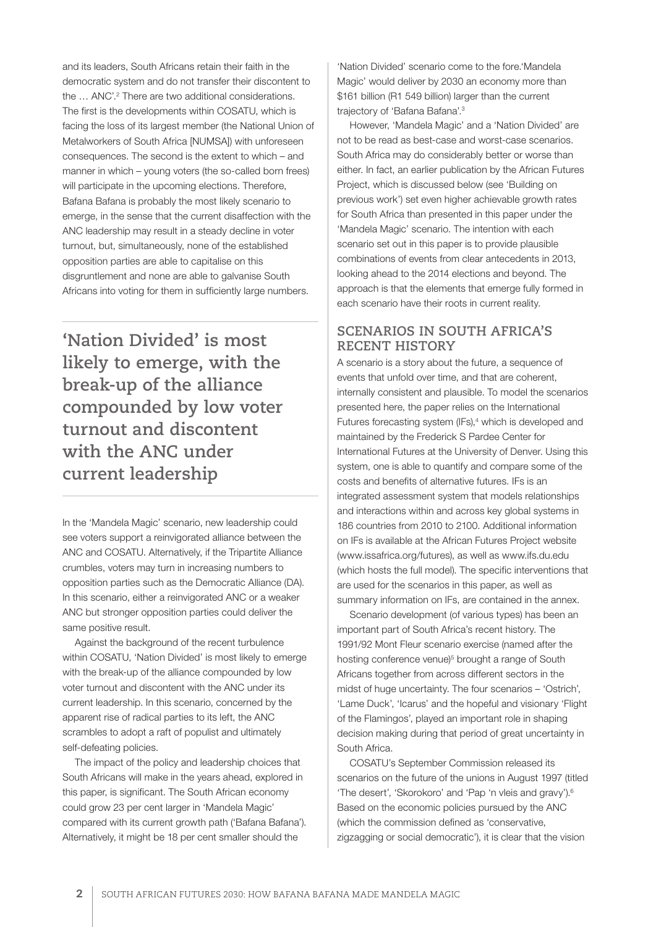and its leaders, South Africans retain their faith in the democratic system and do not transfer their discontent to the ... ANC'.<sup>2</sup> There are two additional considerations. The first is the developments within COSATU, which is facing the loss of its largest member (the National Union of Metalworkers of South Africa [NUMSA]) with unforeseen consequences. The second is the extent to which – and manner in which – young voters (the so-called born frees) will participate in the upcoming elections. Therefore, Bafana Bafana is probably the most likely scenario to emerge, in the sense that the current disaffection with the ANC leadership may result in a steady decline in voter turnout, but, simultaneously, none of the established opposition parties are able to capitalise on this disgruntlement and none are able to galvanise South Africans into voting for them in sufficiently large numbers.

**'Nation Divided' is most likely to emerge, with the break-up of the alliance compounded by low voter turnout and discontent with the ANC under current leadership**

In the 'Mandela Magic' scenario, new leadership could see voters support a reinvigorated alliance between the ANC and COSATU. Alternatively, if the Tripartite Alliance crumbles, voters may turn in increasing numbers to opposition parties such as the Democratic Alliance (DA). In this scenario, either a reinvigorated ANC or a weaker ANC but stronger opposition parties could deliver the same positive result.

Against the background of the recent turbulence within COSATU, 'Nation Divided' is most likely to emerge with the break-up of the alliance compounded by low voter turnout and discontent with the ANC under its current leadership. In this scenario, concerned by the apparent rise of radical parties to its left, the ANC scrambles to adopt a raft of populist and ultimately self-defeating policies.

The impact of the policy and leadership choices that South Africans will make in the years ahead, explored in this paper, is significant. The South African economy could grow 23 per cent larger in 'Mandela Magic' compared with its current growth path ('Bafana Bafana'). Alternatively, it might be 18 per cent smaller should the

'Nation Divided' scenario come to the fore.'Mandela Magic' would deliver by 2030 an economy more than \$161 billion (R1 549 billion) larger than the current trajectory of 'Bafana Bafana'.3

However, 'Mandela Magic' and a 'Nation Divided' are not to be read as best-case and worst-case scenarios. South Africa may do considerably better or worse than either. In fact, an earlier publication by the African Futures Project, which is discussed below (see 'Building on previous work') set even higher achievable growth rates for South Africa than presented in this paper under the 'Mandela Magic' scenario. The intention with each scenario set out in this paper is to provide plausible combinations of events from clear antecedents in 2013, looking ahead to the 2014 elections and beyond. The approach is that the elements that emerge fully formed in each scenario have their roots in current reality.

# **SCENARIOS IN SOUTH AFRICA'S RECENT HISTORY**

A scenario is a story about the future, a sequence of events that unfold over time, and that are coherent, internally consistent and plausible. To model the scenarios presented here, the paper relies on the International Futures forecasting system (IFs),<sup>4</sup> which is developed and maintained by the Frederick S Pardee Center for International Futures at the University of Denver. Using this system, one is able to quantify and compare some of the costs and benefits of alternative futures. IFs is an integrated assessment system that models relationships and interactions within and across key global systems in 186 countries from 2010 to 2100. Additional information on IFs is available at the African Futures Project website (www.issafrica.org/futures), as well as www.ifs.du.edu (which hosts the full model). The specific interventions that are used for the scenarios in this paper, as well as summary information on IFs, are contained in the annex.

Scenario development (of various types) has been an important part of South Africa's recent history. The 1991/92 Mont Fleur scenario exercise (named after the hosting conference venue)<sup>5</sup> brought a range of South Africans together from across different sectors in the midst of huge uncertainty. The four scenarios – 'Ostrich', 'Lame Duck', 'Icarus' and the hopeful and visionary 'Flight of the Flamingos', played an important role in shaping decision making during that period of great uncertainty in South Africa.

COSATU's September Commission released its scenarios on the future of the unions in August 1997 (titled 'The desert', 'Skorokoro' and 'Pap 'n vleis and gravy').6 Based on the economic policies pursued by the ANC (which the commission defined as 'conservative, zigzagging or social democratic'), it is clear that the vision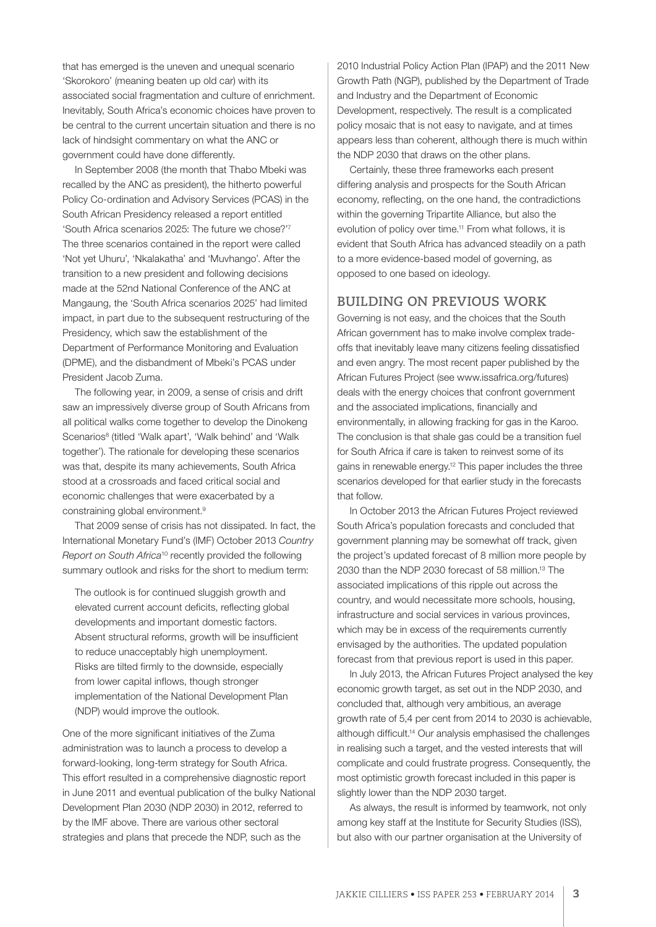that has emerged is the uneven and unequal scenario 'Skorokoro' (meaning beaten up old car) with its associated social fragmentation and culture of enrichment. Inevitably, South Africa's economic choices have proven to be central to the current uncertain situation and there is no lack of hindsight commentary on what the ANC or government could have done differently.

In September 2008 (the month that Thabo Mbeki was recalled by the ANC as president), the hitherto powerful Policy Co-ordination and Advisory Services (PCAS) in the South African Presidency released a report entitled 'South Africa scenarios 2025: The future we chose?'7 The three scenarios contained in the report were called 'Not yet Uhuru', 'Nkalakatha' and 'Muvhango'. After the transition to a new president and following decisions made at the 52nd National Conference of the ANC at Mangaung, the 'South Africa scenarios 2025' had limited impact, in part due to the subsequent restructuring of the Presidency, which saw the establishment of the Department of Performance Monitoring and Evaluation (DPME), and the disbandment of Mbeki's PCAS under President Jacob Zuma.

The following year, in 2009, a sense of crisis and drift saw an impressively diverse group of South Africans from all political walks come together to develop the Dinokeng Scenarios<sup>8</sup> (titled 'Walk apart', 'Walk behind' and 'Walk together'). The rationale for developing these scenarios was that, despite its many achievements, South Africa stood at a crossroads and faced critical social and economic challenges that were exacerbated by a constraining global environment.9

That 2009 sense of crisis has not dissipated. In fact, the International Monetary Fund's (IMF) October 2013 *Country Report on South Africa*10 recently provided the following summary outlook and risks for the short to medium term:

The outlook is for continued sluggish growth and elevated current account deficits, reflecting global developments and important domestic factors. Absent structural reforms, growth will be insufficient to reduce unacceptably high unemployment. Risks are tilted firmly to the downside, especially from lower capital inflows, though stronger implementation of the National Development Plan (NDP) would improve the outlook.

One of the more significant initiatives of the Zuma administration was to launch a process to develop a forward-looking, long-term strategy for South Africa. This effort resulted in a comprehensive diagnostic report in June 2011 and eventual publication of the bulky National Development Plan 2030 (NDP 2030) in 2012, referred to by the IMF above. There are various other sectoral strategies and plans that precede the NDP, such as the

2010 Industrial Policy Action Plan (IPAP) and the 2011 New Growth Path (NGP), published by the Department of Trade and Industry and the Department of Economic Development, respectively. The result is a complicated policy mosaic that is not easy to navigate, and at times appears less than coherent, although there is much within the NDP 2030 that draws on the other plans.

Certainly, these three frameworks each present differing analysis and prospects for the South African economy, reflecting, on the one hand, the contradictions within the governing Tripartite Alliance, but also the evolution of policy over time.<sup>11</sup> From what follows, it is evident that South Africa has advanced steadily on a path to a more evidence-based model of governing, as opposed to one based on ideology.

# **BUILDING ON PREVIOUS WORK**

Governing is not easy, and the choices that the South African government has to make involve complex tradeoffs that inevitably leave many citizens feeling dissatisfied and even angry. The most recent paper published by the African Futures Project (see www.issafrica.org/futures) deals with the energy choices that confront government and the associated implications, financially and environmentally, in allowing fracking for gas in the Karoo. The conclusion is that shale gas could be a transition fuel for South Africa if care is taken to reinvest some of its gains in renewable energy.12 This paper includes the three scenarios developed for that earlier study in the forecasts that follow.

In October 2013 the African Futures Project reviewed South Africa's population forecasts and concluded that government planning may be somewhat off track, given the project's updated forecast of 8 million more people by 2030 than the NDP 2030 forecast of 58 million.13 The associated implications of this ripple out across the country, and would necessitate more schools, housing, infrastructure and social services in various provinces, which may be in excess of the requirements currently envisaged by the authorities. The updated population forecast from that previous report is used in this paper.

In July 2013, the African Futures Project analysed the key economic growth target, as set out in the NDP 2030, and concluded that, although very ambitious, an average growth rate of 5,4 per cent from 2014 to 2030 is achievable, although difficult.14 Our analysis emphasised the challenges in realising such a target, and the vested interests that will complicate and could frustrate progress. Consequently, the most optimistic growth forecast included in this paper is slightly lower than the NDP 2030 target.

As always, the result is informed by teamwork, not only among key staff at the Institute for Security Studies (ISS), but also with our partner organisation at the University of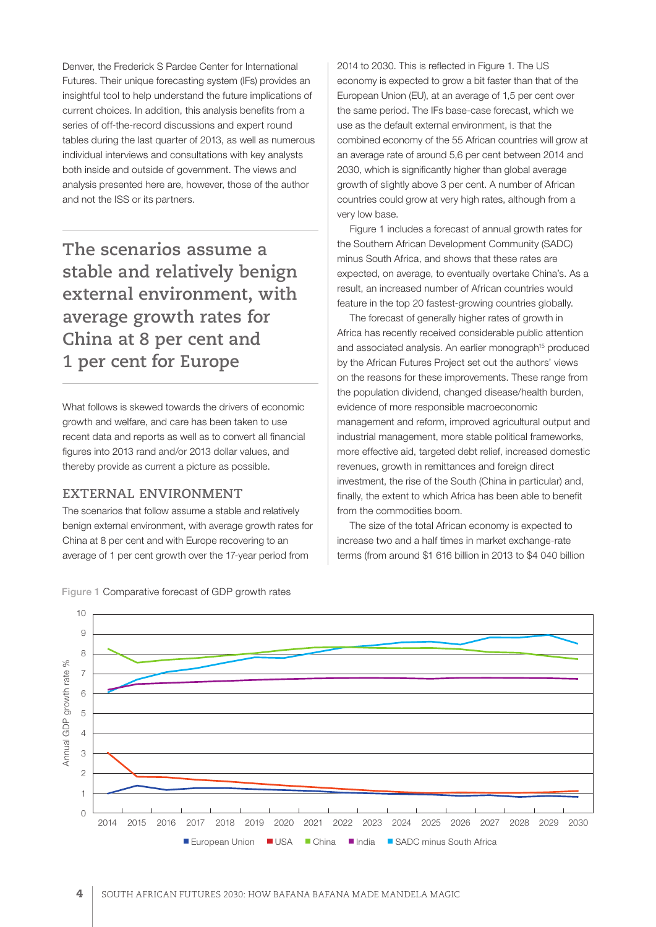Denver, the Frederick S Pardee Center for International Futures. Their unique forecasting system (IFs) provides an insightful tool to help understand the future implications of current choices. In addition, this analysis benefits from a series of off-the-record discussions and expert round tables during the last quarter of 2013, as well as numerous individual interviews and consultations with key analysts both inside and outside of government. The views and analysis presented here are, however, those of the author and not the ISS or its partners.

**The scenarios assume a stable and relatively benign external environment, with average growth rates for China at 8 per cent and 1 per cent for Europe**

What follows is skewed towards the drivers of economic growth and welfare, and care has been taken to use recent data and reports as well as to convert all financial figures into 2013 rand and/or 2013 dollar values, and thereby provide as current a picture as possible.

## **EXTERNAL ENVIRONMENT**

The scenarios that follow assume a stable and relatively benign external environment, with average growth rates for China at 8 per cent and with Europe recovering to an average of 1 per cent growth over the 17-year period from

2014 to 2030. This is reflected in Figure 1. The US economy is expected to grow a bit faster than that of the European Union (EU), at an average of 1,5 per cent over the same period. The IFs base-case forecast, which we use as the default external environment, is that the combined economy of the 55 African countries will grow at an average rate of around 5,6 per cent between 2014 and 2030, which is significantly higher than global average growth of slightly above 3 per cent. A number of African countries could grow at very high rates, although from a very low base.

Figure 1 includes a forecast of annual growth rates for the Southern African Development Community (SADC) minus South Africa, and shows that these rates are expected, on average, to eventually overtake China's. As a result, an increased number of African countries would feature in the top 20 fastest-growing countries globally.

The forecast of generally higher rates of growth in Africa has recently received considerable public attention and associated analysis. An earlier monograph<sup>15</sup> produced by the African Futures Project set out the authors' views on the reasons for these improvements. These range from the population dividend, changed disease/health burden, evidence of more responsible macroeconomic management and reform, improved agricultural output and industrial management, more stable political frameworks, more effective aid, targeted debt relief, increased domestic revenues, growth in remittances and foreign direct investment, the rise of the South (China in particular) and, finally, the extent to which Africa has been able to benefit from the commodities boom.

The size of the total African economy is expected to increase two and a half times in market exchange-rate terms (from around \$1 616 billion in 2013 to \$4 040 billion



Figure 1 Comparative forecast of GDP growth rates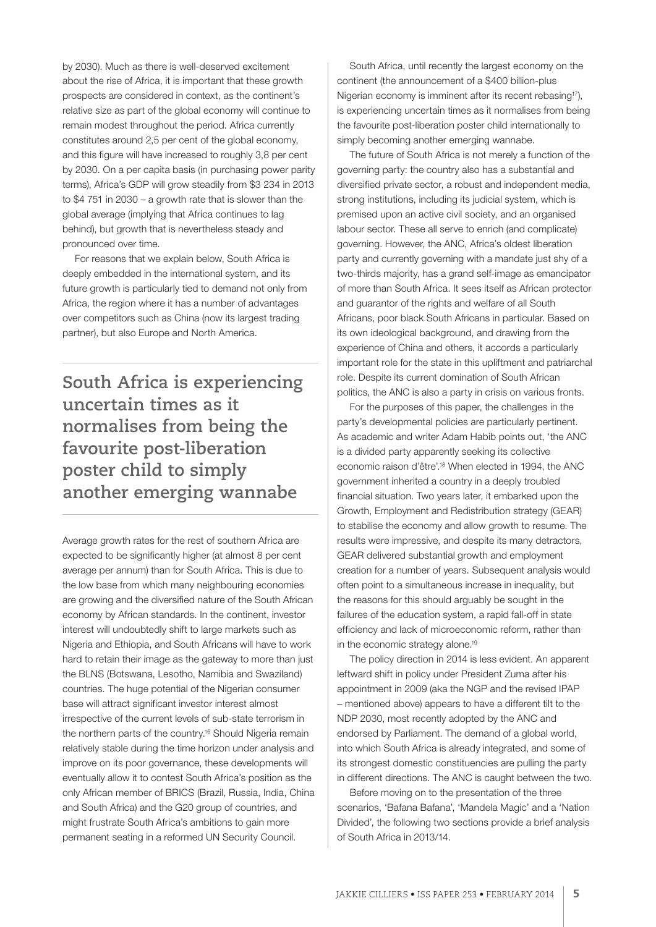by 2030). Much as there is well-deserved excitement about the rise of Africa, it is important that these growth prospects are considered in context, as the continent's relative size as part of the global economy will continue to remain modest throughout the period. Africa currently constitutes around 2,5 per cent of the global economy, and this figure will have increased to roughly 3,8 per cent by 2030. On a per capita basis (in purchasing power parity terms), Africa's GDP will grow steadily from \$3 234 in 2013 to \$4 751 in 2030 – a growth rate that is slower than the global average (implying that Africa continues to lag behind), but growth that is nevertheless steady and pronounced over time.

For reasons that we explain below, South Africa is deeply embedded in the international system, and its future growth is particularly tied to demand not only from Africa, the region where it has a number of advantages over competitors such as China (now its largest trading partner), but also Europe and North America.

**South Africa is experiencing uncertain times as it normalises from being the favourite post-liberation poster child to simply another emerging wannabe**

Average growth rates for the rest of southern Africa are expected to be significantly higher (at almost 8 per cent average per annum) than for South Africa. This is due to the low base from which many neighbouring economies are growing and the diversified nature of the South African economy by African standards. In the continent, investor interest will undoubtedly shift to large markets such as Nigeria and Ethiopia, and South Africans will have to work hard to retain their image as the gateway to more than just the BLNS (Botswana, Lesotho, Namibia and Swaziland) countries. The huge potential of the Nigerian consumer base will attract significant investor interest almost irrespective of the current levels of sub-state terrorism in the northern parts of the country.16 Should Nigeria remain relatively stable during the time horizon under analysis and improve on its poor governance, these developments will eventually allow it to contest South Africa's position as the only African member of BRICS (Brazil, Russia, India, China and South Africa) and the G20 group of countries, and might frustrate South Africa's ambitions to gain more permanent seating in a reformed UN Security Council.

South Africa, until recently the largest economy on the continent (the announcement of a \$400 billion-plus Nigerian economy is imminent after its recent rebasing<sup>17</sup>), is experiencing uncertain times as it normalises from being the favourite post-liberation poster child internationally to simply becoming another emerging wannabe.

The future of South Africa is not merely a function of the governing party: the country also has a substantial and diversified private sector, a robust and independent media, strong institutions, including its judicial system, which is premised upon an active civil society, and an organised labour sector. These all serve to enrich (and complicate) governing. However, the ANC, Africa's oldest liberation party and currently governing with a mandate just shy of a two-thirds majority, has a grand self-image as emancipator of more than South Africa. It sees itself as African protector and guarantor of the rights and welfare of all South Africans, poor black South Africans in particular. Based on its own ideological background, and drawing from the experience of China and others, it accords a particularly important role for the state in this upliftment and patriarchal role. Despite its current domination of South African politics, the ANC is also a party in crisis on various fronts.

For the purposes of this paper, the challenges in the party's developmental policies are particularly pertinent. As academic and writer Adam Habib points out, 'the ANC is a divided party apparently seeking its collective economic raison d'être'.18 When elected in 1994, the ANC government inherited a country in a deeply troubled financial situation. Two years later, it embarked upon the Growth, Employment and Redistribution strategy (GEAR) to stabilise the economy and allow growth to resume. The results were impressive, and despite its many detractors, GEAR delivered substantial growth and employment creation for a number of years. Subsequent analysis would often point to a simultaneous increase in inequality, but the reasons for this should arguably be sought in the failures of the education system, a rapid fall-off in state efficiency and lack of microeconomic reform, rather than in the economic strategy alone.19

The policy direction in 2014 is less evident. An apparent leftward shift in policy under President Zuma after his appointment in 2009 (aka the NGP and the revised IPAP – mentioned above) appears to have a different tilt to the NDP 2030, most recently adopted by the ANC and endorsed by Parliament. The demand of a global world, into which South Africa is already integrated, and some of its strongest domestic constituencies are pulling the party in different directions. The ANC is caught between the two.

Before moving on to the presentation of the three scenarios, 'Bafana Bafana', 'Mandela Magic' and a 'Nation Divided', the following two sections provide a brief analysis of South Africa in 2013/14.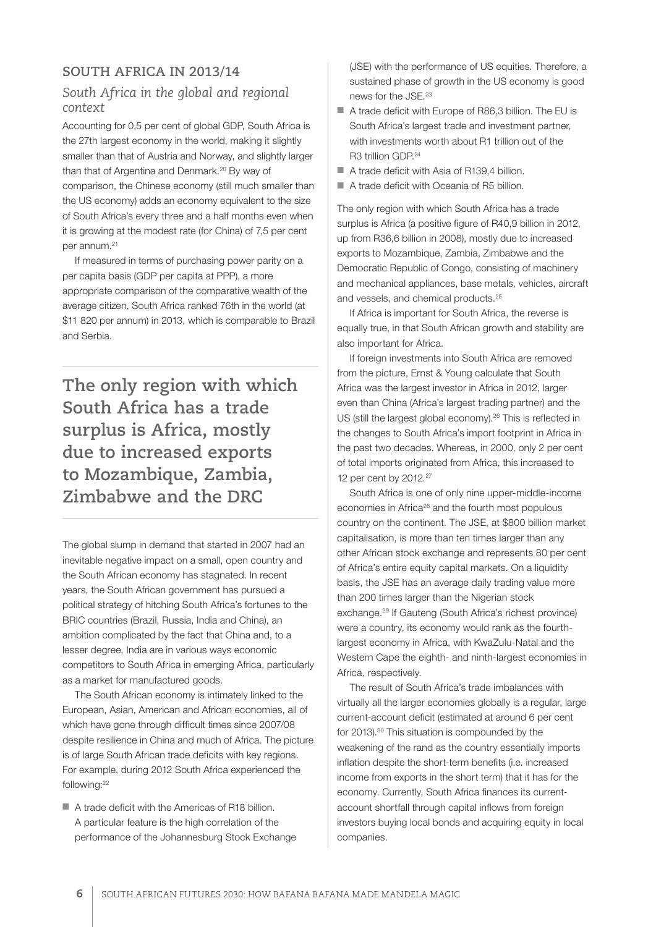# **SOUTH AFRICA IN 2013/14**

# *South Africa in the global and regional context*

Accounting for 0,5 per cent of global GDP, South Africa is the 27th largest economy in the world, making it slightly smaller than that of Austria and Norway, and slightly larger than that of Argentina and Denmark.<sup>20</sup> By way of comparison, the Chinese economy (still much smaller than the US economy) adds an economy equivalent to the size of South Africa's every three and a half months even when it is growing at the modest rate (for China) of 7,5 per cent per annum.<sup>21</sup>

If measured in terms of purchasing power parity on a per capita basis (GDP per capita at PPP), a more appropriate comparison of the comparative wealth of the average citizen, South Africa ranked 76th in the world (at \$11 820 per annum) in 2013, which is comparable to Brazil and Serbia.

**The only region with which South Africa has a trade surplus is Africa, mostly due to increased exports to Mozambique, Zambia, Zimbabwe and the DRC**

The global slump in demand that started in 2007 had an inevitable negative impact on a small, open country and the South African economy has stagnated. In recent years, the South African government has pursued a political strategy of hitching South Africa's fortunes to the BRIC countries (Brazil, Russia, India and China), an ambition complicated by the fact that China and, to a lesser degree, India are in various ways economic competitors to South Africa in emerging Africa, particularly as a market for manufactured goods.

The South African economy is intimately linked to the European, Asian, American and African economies, all of which have gone through difficult times since 2007/08 despite resilience in China and much of Africa. The picture is of large South African trade deficits with key regions. For example, during 2012 South Africa experienced the following:22

■ A trade deficit with the Americas of R18 billion. A particular feature is the high correlation of the performance of the Johannesburg Stock Exchange (JSE) with the performance of US equities. Therefore, a sustained phase of growth in the US economy is good news for the JSE.23

- A trade deficit with Europe of R86,3 billion. The EU is South Africa's largest trade and investment partner, with investments worth about R1 trillion out of the R3 trillion GDP<sup>24</sup>
- A trade deficit with Asia of R139.4 billion.
- A trade deficit with Oceania of R5 billion.

The only region with which South Africa has a trade surplus is Africa (a positive figure of R40,9 billion in 2012, up from R36,6 billion in 2008), mostly due to increased exports to Mozambique, Zambia, Zimbabwe and the Democratic Republic of Congo, consisting of machinery and mechanical appliances, base metals, vehicles, aircraft and vessels, and chemical products.25

If Africa is important for South Africa, the reverse is equally true, in that South African growth and stability are also important for Africa.

If foreign investments into South Africa are removed from the picture, Ernst & Young calculate that South Africa was the largest investor in Africa in 2012, larger even than China (Africa's largest trading partner) and the US (still the largest global economy).<sup>26</sup> This is reflected in the changes to South Africa's import footprint in Africa in the past two decades. Whereas, in 2000, only 2 per cent of total imports originated from Africa, this increased to 12 per cent by 2012.27

South Africa is one of only nine upper-middle-income economies in Africa<sup>28</sup> and the fourth most populous country on the continent. The JSE, at \$800 billion market capitalisation, is more than ten times larger than any other African stock exchange and represents 80 per cent of Africa's entire equity capital markets. On a liquidity basis, the JSE has an average daily trading value more than 200 times larger than the Nigerian stock exchange.29 If Gauteng (South Africa's richest province) were a country, its economy would rank as the fourthlargest economy in Africa, with KwaZulu-Natal and the Western Cape the eighth- and ninth-largest economies in Africa, respectively.

The result of South Africa's trade imbalances with virtually all the larger economies globally is a regular, large current-account deficit (estimated at around 6 per cent for 2013).<sup>30</sup> This situation is compounded by the weakening of the rand as the country essentially imports inflation despite the short-term benefits (i.e. increased income from exports in the short term) that it has for the economy. Currently, South Africa finances its currentaccount shortfall through capital inflows from foreign investors buying local bonds and acquiring equity in local companies.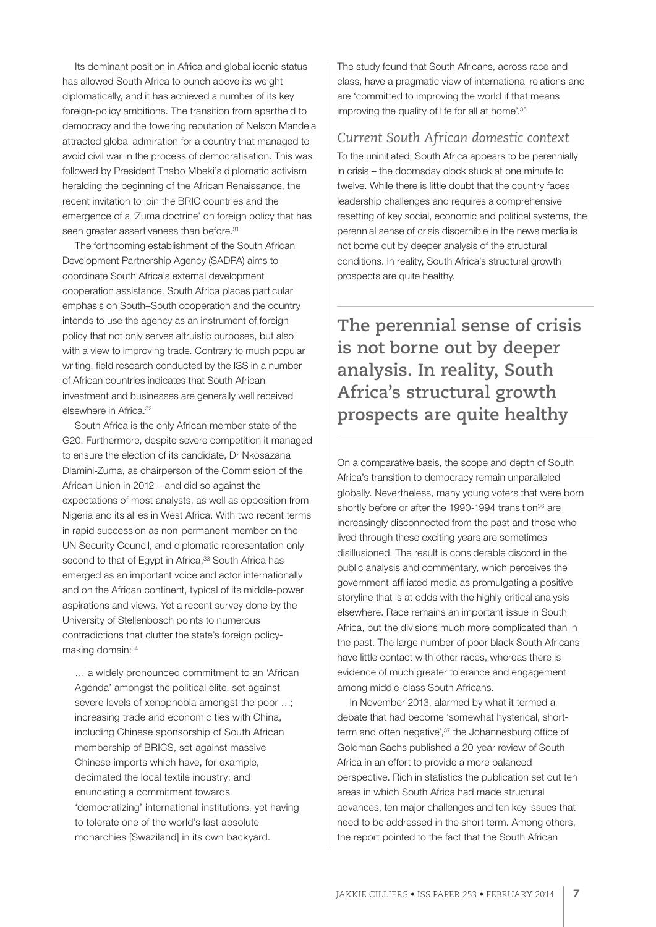Its dominant position in Africa and global iconic status has allowed South Africa to punch above its weight diplomatically, and it has achieved a number of its key foreign-policy ambitions. The transition from apartheid to democracy and the towering reputation of Nelson Mandela attracted global admiration for a country that managed to avoid civil war in the process of democratisation. This was followed by President Thabo Mbeki's diplomatic activism heralding the beginning of the African Renaissance, the recent invitation to join the BRIC countries and the emergence of a 'Zuma doctrine' on foreign policy that has seen greater assertiveness than before.<sup>31</sup>

The forthcoming establishment of the South African Development Partnership Agency (SADPA) aims to coordinate South Africa's external development cooperation assistance. South Africa places particular emphasis on South–South cooperation and the country intends to use the agency as an instrument of foreign policy that not only serves altruistic purposes, but also with a view to improving trade. Contrary to much popular writing, field research conducted by the ISS in a number of African countries indicates that South African investment and businesses are generally well received elsewhere in Africa.32

South Africa is the only African member state of the G20. Furthermore, despite severe competition it managed to ensure the election of its candidate, Dr Nkosazana Dlamini-Zuma, as chairperson of the Commission of the African Union in 2012 – and did so against the expectations of most analysts, as well as opposition from Nigeria and its allies in West Africa. With two recent terms in rapid succession as non-permanent member on the UN Security Council, and diplomatic representation only second to that of Egypt in Africa,<sup>33</sup> South Africa has emerged as an important voice and actor internationally and on the African continent, typical of its middle-power aspirations and views. Yet a recent survey done by the University of Stellenbosch points to numerous contradictions that clutter the state's foreign policymaking domain: 34

… a widely pronounced commitment to an 'African Agenda' amongst the political elite, set against severe levels of xenophobia amongst the poor …; increasing trade and economic ties with China, including Chinese sponsorship of South African membership of BRICS, set against massive Chinese imports which have, for example, decimated the local textile industry; and enunciating a commitment towards 'democratizing' international institutions, yet having to tolerate one of the world's last absolute monarchies [Swaziland] in its own backyard.

The study found that South Africans, across race and class, have a pragmatic view of international relations and are 'committed to improving the world if that means improving the quality of life for all at home'.<sup>35</sup>

# *Current South African domestic context*

To the uninitiated, South Africa appears to be perennially in crisis – the doomsday clock stuck at one minute to twelve. While there is little doubt that the country faces leadership challenges and requires a comprehensive resetting of key social, economic and political systems, the perennial sense of crisis discernible in the news media is not borne out by deeper analysis of the structural conditions. In reality, South Africa's structural growth prospects are quite healthy.

**The perennial sense of crisis is not borne out by deeper analysis. In reality, South Africa's structural growth prospects are quite healthy**

On a comparative basis, the scope and depth of South Africa's transition to democracy remain unparalleled globally. Nevertheless, many young voters that were born shortly before or after the 1990-1994 transition<sup>36</sup> are increasingly disconnected from the past and those who lived through these exciting years are sometimes disillusioned. The result is considerable discord in the public analysis and commentary, which perceives the government-affiliated media as promulgating a positive storyline that is at odds with the highly critical analysis elsewhere. Race remains an important issue in South Africa, but the divisions much more complicated than in the past. The large number of poor black South Africans have little contact with other races, whereas there is evidence of much greater tolerance and engagement among middle-class South Africans.

In November 2013, alarmed by what it termed a debate that had become 'somewhat hysterical, shortterm and often negative'.<sup>37</sup> the Johannesburg office of Goldman Sachs published a 20-year review of South Africa in an effort to provide a more balanced perspective. Rich in statistics the publication set out ten areas in which South Africa had made structural advances, ten major challenges and ten key issues that need to be addressed in the short term. Among others, the report pointed to the fact that the South African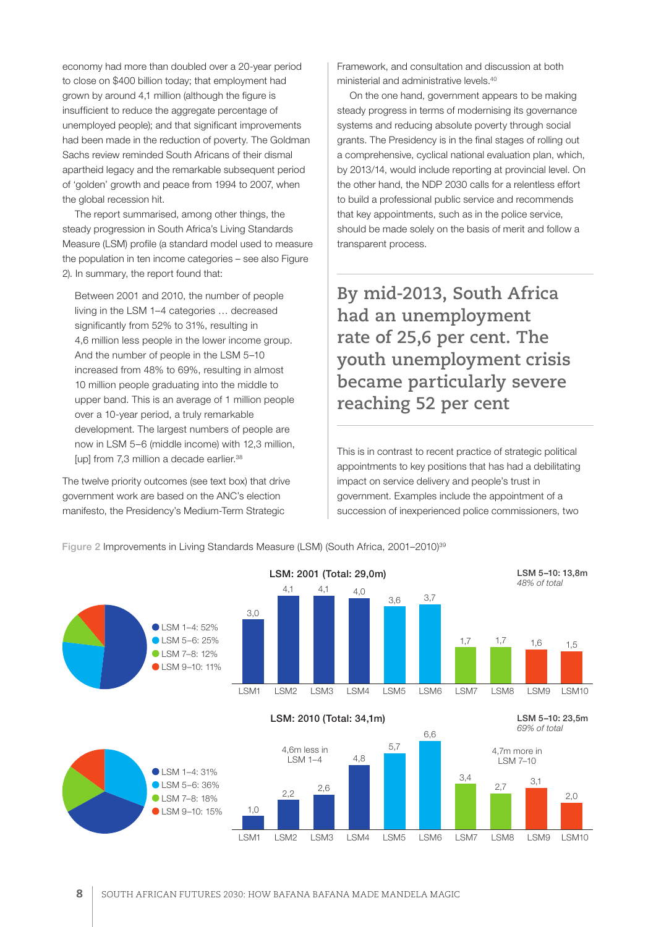economy had more than doubled over a 20-year period to close on \$400 billion today; that employment had grown by around 4,1 million (although the figure is insufficient to reduce the aggregate percentage of unemployed people); and that significant improvements had been made in the reduction of poverty. The Goldman Sachs review reminded South Africans of their dismal apartheid legacy and the remarkable subsequent period of 'golden' growth and peace from 1994 to 2007, when the global recession hit.

The report summarised, among other things, the steady progression in South Africa's Living Standards Measure (LSM) profile (a standard model used to measure the population in ten income categories – see also Figure 2). In summary, the report found that:

Between 2001 and 2010, the number of people living in the LSM 1–4 categories … decreased significantly from 52% to 31%, resulting in 4,6 million less people in the lower income group. And the number of people in the LSM 5–10 increased from 48% to 69%, resulting in almost 10 million people graduating into the middle to upper band. This is an average of 1 million people over a 10-year period, a truly remarkable development. The largest numbers of people are now in LSM 5–6 (middle income) with 12,3 million, [up] from 7,3 million a decade earlier.<sup>38</sup>

The twelve priority outcomes (see text box) that drive government work are based on the ANC's election manifesto, the Presidency's Medium-Term Strategic

Framework, and consultation and discussion at both ministerial and administrative levels.40

On the one hand, government appears to be making steady progress in terms of modernising its governance systems and reducing absolute poverty through social grants. The Presidency is in the final stages of rolling out a comprehensive, cyclical national evaluation plan, which, by 2013/14, would include reporting at provincial level. On the other hand, the NDP 2030 calls for a relentless effort to build a professional public service and recommends that key appointments, such as in the police service, should be made solely on the basis of merit and follow a transparent process.

**By mid-2013, South Africa had an unemployment rate of 25,6 per cent. The youth unemployment crisis became particularly severe reaching 52 per cent**

This is in contrast to recent practice of strategic political appointments to key positions that has had a debilitating impact on service delivery and people's trust in government. Examples include the appointment of a succession of inexperienced police commissioners, two

Figure 2 Improvements in Living Standards Measure (LSM) (South Africa, 2001–2010)<sup>39</sup>

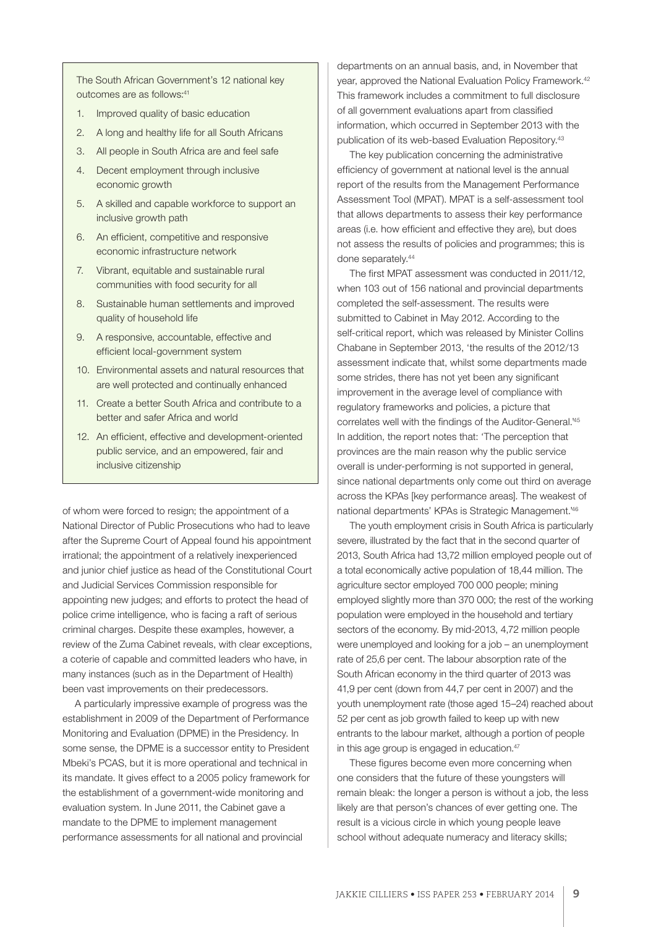The South African Government's 12 national key outcomes are as follows:<sup>41</sup>

- 1. Improved quality of basic education
- 2. A long and healthy life for all South Africans
- 3. All people in South Africa are and feel safe
- 4. Decent employment through inclusive economic growth
- 5. A skilled and capable workforce to support an inclusive growth path
- 6. An efficient, competitive and responsive economic infrastructure network
- 7. Vibrant, equitable and sustainable rural communities with food security for all
- 8. Sustainable human settlements and improved quality of household life
- 9. A responsive, accountable, effective and efficient local-government system
- 10. Environmental assets and natural resources that are well protected and continually enhanced
- 11. Create a better South Africa and contribute to a better and safer Africa and world
- 12. An efficient, effective and development-oriented public service, and an empowered, fair and inclusive citizenship

of whom were forced to resign; the appointment of a National Director of Public Prosecutions who had to leave after the Supreme Court of Appeal found his appointment irrational; the appointment of a relatively inexperienced and junior chief justice as head of the Constitutional Court and Judicial Services Commission responsible for appointing new judges; and efforts to protect the head of police crime intelligence, who is facing a raft of serious criminal charges. Despite these examples, however, a review of the Zuma Cabinet reveals, with clear exceptions, a coterie of capable and committed leaders who have, in many instances (such as in the Department of Health) been vast improvements on their predecessors.

A particularly impressive example of progress was the establishment in 2009 of the Department of Performance Monitoring and Evaluation (DPME) in the Presidency. In some sense, the DPME is a successor entity to President Mbeki's PCAS, but it is more operational and technical in its mandate. It gives effect to a 2005 policy framework for the establishment of a government-wide monitoring and evaluation system. In June 2011, the Cabinet gave a mandate to the DPME to implement management performance assessments for all national and provincial

departments on an annual basis, and, in November that year, approved the National Evaluation Policy Framework.42 This framework includes a commitment to full disclosure of all government evaluations apart from classified information, which occurred in September 2013 with the publication of its web-based Evaluation Repository.43

The key publication concerning the administrative efficiency of government at national level is the annual report of the results from the Management Performance Assessment Tool (MPAT). MPAT is a self-assessment tool that allows departments to assess their key performance areas (i.e. how efficient and effective they are), but does not assess the results of policies and programmes; this is done separately.44

The first MPAT assessment was conducted in 2011/12, when 103 out of 156 national and provincial departments completed the self-assessment. The results were submitted to Cabinet in May 2012. According to the self-critical report, which was released by Minister Collins Chabane in September 2013, 'the results of the 2012/13 assessment indicate that, whilst some departments made some strides, there has not yet been any significant improvement in the average level of compliance with regulatory frameworks and policies, a picture that correlates well with the findings of the Auditor-General.'45 In addition, the report notes that: 'The perception that provinces are the main reason why the public service overall is under-performing is not supported in general, since national departments only come out third on average across the KPAs [key performance areas]. The weakest of national departments' KPAs is Strategic Management.'46

The youth employment crisis in South Africa is particularly severe, illustrated by the fact that in the second quarter of 2013, South Africa had 13,72 million employed people out of a total economically active population of 18,44 million. The agriculture sector employed 700 000 people; mining employed slightly more than 370 000; the rest of the working population were employed in the household and tertiary sectors of the economy. By mid-2013, 4,72 million people were unemployed and looking for a job – an unemployment rate of 25,6 per cent. The labour absorption rate of the South African economy in the third quarter of 2013 was 41,9 per cent (down from 44,7 per cent in 2007) and the youth unemployment rate (those aged 15–24) reached about 52 per cent as job growth failed to keep up with new entrants to the labour market, although a portion of people in this age group is engaged in education.<sup>47</sup>

These figures become even more concerning when one considers that the future of these youngsters will remain bleak: the longer a person is without a job, the less likely are that person's chances of ever getting one. The result is a vicious circle in which young people leave school without adequate numeracy and literacy skills;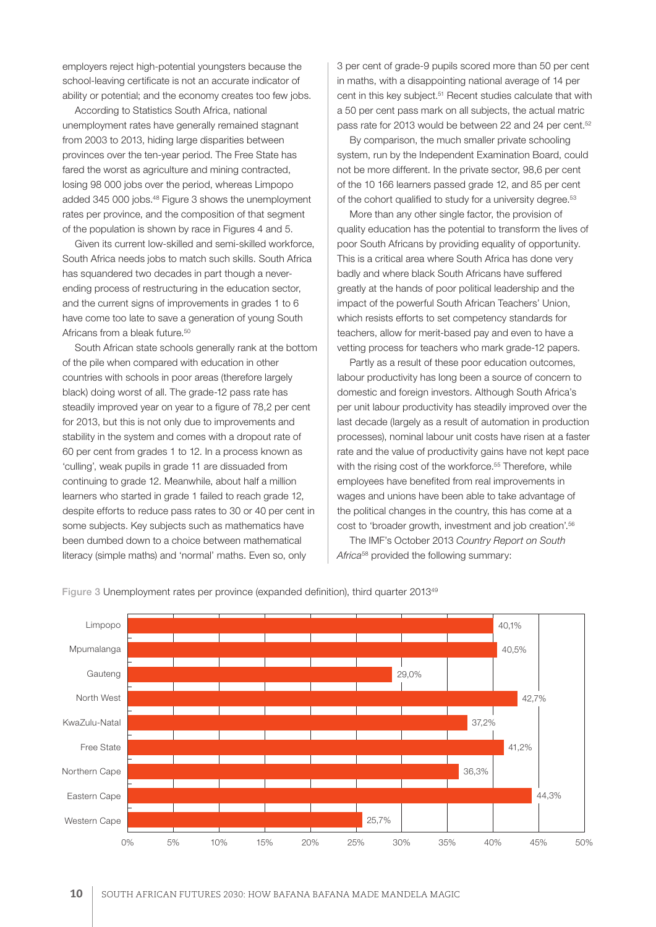employers reject high-potential youngsters because the school-leaving certificate is not an accurate indicator of ability or potential; and the economy creates too few jobs.

According to Statistics South Africa, national unemployment rates have generally remained stagnant from 2003 to 2013, hiding large disparities between provinces over the ten-year period. The Free State has fared the worst as agriculture and mining contracted, losing 98 000 jobs over the period, whereas Limpopo added 345 000 jobs.<sup>48</sup> Figure 3 shows the unemployment rates per province, and the composition of that segment of the population is shown by race in Figures 4 and 5.

Given its current low-skilled and semi-skilled workforce, South Africa needs jobs to match such skills. South Africa has squandered two decades in part though a neverending process of restructuring in the education sector, and the current signs of improvements in grades 1 to 6 have come too late to save a generation of young South Africans from a bleak future.<sup>50</sup>

South African state schools generally rank at the bottom of the pile when compared with education in other countries with schools in poor areas (therefore largely black) doing worst of all. The grade-12 pass rate has steadily improved year on year to a figure of 78,2 per cent for 2013, but this is not only due to improvements and stability in the system and comes with a dropout rate of 60 per cent from grades 1 to 12. In a process known as 'culling', weak pupils in grade 11 are dissuaded from continuing to grade 12. Meanwhile, about half a million learners who started in grade 1 failed to reach grade 12, despite efforts to reduce pass rates to 30 or 40 per cent in some subjects. Key subjects such as mathematics have been dumbed down to a choice between mathematical literacy (simple maths) and 'normal' maths. Even so, only

3 per cent of grade-9 pupils scored more than 50 per cent in maths, with a disappointing national average of 14 per cent in this key subject.<sup>51</sup> Recent studies calculate that with a 50 per cent pass mark on all subjects, the actual matric pass rate for 2013 would be between 22 and 24 per cent.<sup>52</sup>

By comparison, the much smaller private schooling system, run by the Independent Examination Board, could not be more different. In the private sector, 98,6 per cent of the 10 166 learners passed grade 12, and 85 per cent of the cohort qualified to study for a university degree.<sup>53</sup>

More than any other single factor, the provision of quality education has the potential to transform the lives of poor South Africans by providing equality of opportunity. This is a critical area where South Africa has done very badly and where black South Africans have suffered greatly at the hands of poor political leadership and the impact of the powerful South African Teachers' Union, which resists efforts to set competency standards for teachers, allow for merit-based pay and even to have a vetting process for teachers who mark grade-12 papers.

Partly as a result of these poor education outcomes, labour productivity has long been a source of concern to domestic and foreign investors. Although South Africa's per unit labour productivity has steadily improved over the last decade (largely as a result of automation in production processes), nominal labour unit costs have risen at a faster rate and the value of productivity gains have not kept pace with the rising cost of the workforce.<sup>55</sup> Therefore, while employees have benefited from real improvements in wages and unions have been able to take advantage of the political changes in the country, this has come at a cost to 'broader growth, investment and job creation'.56

The IMF's October 2013 *Country Report on South Africa*58 provided the following summary:



Figure 3 Unemployment rates per province (expanded definition), third quarter 201349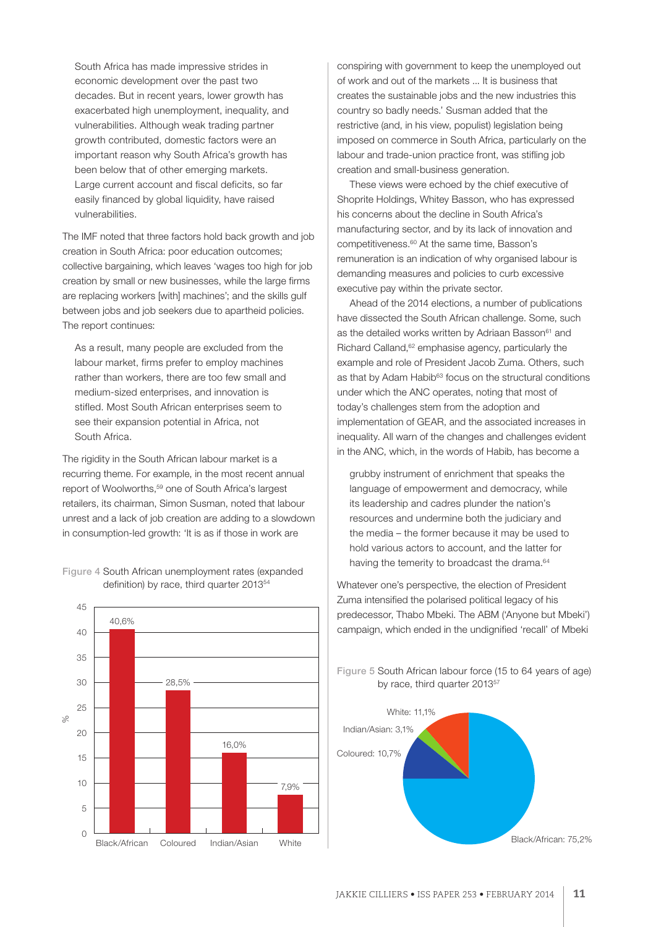South Africa has made impressive strides in economic development over the past two decades. But in recent years, lower growth has exacerbated high unemployment, inequality, and vulnerabilities. Although weak trading partner growth contributed, domestic factors were an important reason why South Africa's growth has been below that of other emerging markets. Large current account and fiscal deficits, so far easily financed by global liquidity, have raised vulnerabilities.

The IMF noted that three factors hold back growth and job creation in South Africa: poor education outcomes; collective bargaining, which leaves 'wages too high for job creation by small or new businesses, while the large firms are replacing workers [with] machines'; and the skills gulf between jobs and job seekers due to apartheid policies. The report continues:

As a result, many people are excluded from the labour market, firms prefer to employ machines rather than workers, there are too few small and medium-sized enterprises, and innovation is stifled. Most South African enterprises seem to see their expansion potential in Africa, not South Africa.

The rigidity in the South African labour market is a recurring theme. For example, in the most recent annual report of Woolworths,59 one of South Africa's largest retailers, its chairman, Simon Susman, noted that labour unrest and a lack of job creation are adding to a slowdown in consumption-led growth: 'It is as if those in work are



Figure 4 South African unemployment rates (expanded definition) by race, third quarter 201354

conspiring with government to keep the unemployed out of work and out of the markets ... It is business that creates the sustainable jobs and the new industries this country so badly needs.' Susman added that the restrictive (and, in his view, populist) legislation being imposed on commerce in South Africa, particularly on the labour and trade-union practice front, was stifling job creation and small-business generation.

These views were echoed by the chief executive of Shoprite Holdings, Whitey Basson, who has expressed his concerns about the decline in South Africa's manufacturing sector, and by its lack of innovation and competitiveness.60 At the same time, Basson's remuneration is an indication of why organised labour is demanding measures and policies to curb excessive executive pay within the private sector.

Ahead of the 2014 elections, a number of publications have dissected the South African challenge. Some, such as the detailed works written by Adriaan Basson<sup>61</sup> and Richard Calland,<sup>62</sup> emphasise agency, particularly the example and role of President Jacob Zuma. Others, such as that by Adam Habib<sup>63</sup> focus on the structural conditions under which the ANC operates, noting that most of today's challenges stem from the adoption and implementation of GEAR, and the associated increases in inequality. All warn of the changes and challenges evident in the ANC, which, in the words of Habib, has become a

grubby instrument of enrichment that speaks the language of empowerment and democracy, while its leadership and cadres plunder the nation's resources and undermine both the judiciary and the media – the former because it may be used to hold various actors to account, and the latter for having the temerity to broadcast the drama.<sup>64</sup>

Whatever one's perspective, the election of President Zuma intensified the polarised political legacy of his predecessor, Thabo Mbeki. The ABM ('Anyone but Mbeki') campaign, which ended in the undignified 'recall' of Mbeki

Figure 5 South African labour force (15 to 64 years of age) by race, third quarter 2013<sup>57</sup>

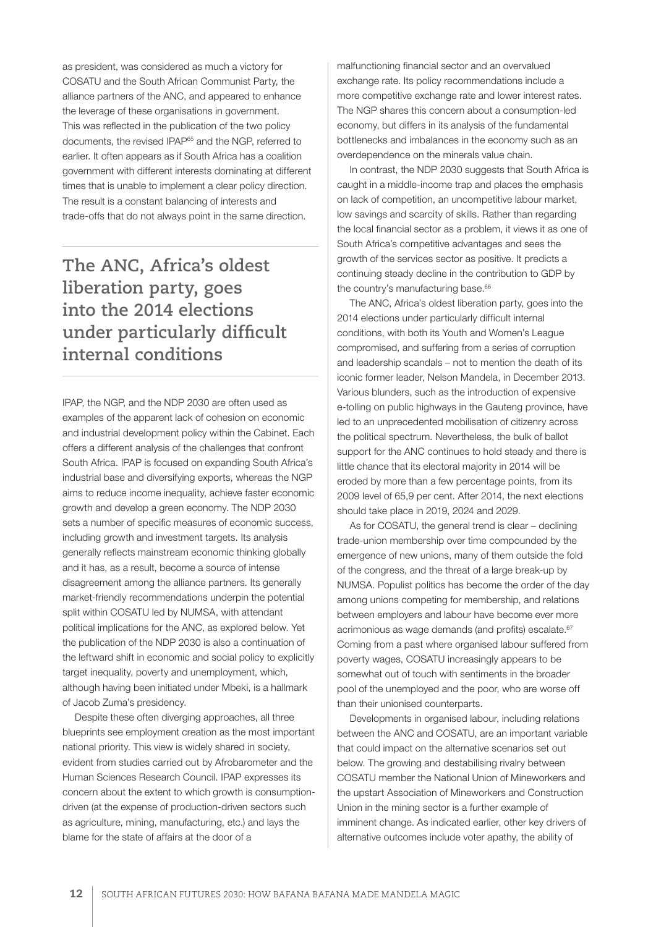as president, was considered as much a victory for COSATU and the South African Communist Party, the alliance partners of the ANC, and appeared to enhance the leverage of these organisations in government. This was reflected in the publication of the two policy documents, the revised IPAP65 and the NGP, referred to earlier. It often appears as if South Africa has a coalition government with different interests dominating at different times that is unable to implement a clear policy direction. The result is a constant balancing of interests and trade-offs that do not always point in the same direction.

# **The ANC, Africa's oldest liberation party, goes into the 2014 elections under particularly difficult internal conditions**

IPAP, the NGP, and the NDP 2030 are often used as examples of the apparent lack of cohesion on economic and industrial development policy within the Cabinet. Each offers a different analysis of the challenges that confront South Africa. IPAP is focused on expanding South Africa's industrial base and diversifying exports, whereas the NGP aims to reduce income inequality, achieve faster economic growth and develop a green economy. The NDP 2030 sets a number of specific measures of economic success, including growth and investment targets. Its analysis generally reflects mainstream economic thinking globally and it has, as a result, become a source of intense disagreement among the alliance partners. Its generally market-friendly recommendations underpin the potential split within COSATU led by NUMSA, with attendant political implications for the ANC, as explored below. Yet the publication of the NDP 2030 is also a continuation of the leftward shift in economic and social policy to explicitly target inequality, poverty and unemployment, which, although having been initiated under Mbeki, is a hallmark of Jacob Zuma's presidency.

Despite these often diverging approaches, all three blueprints see employment creation as the most important national priority. This view is widely shared in society, evident from studies carried out by Afrobarometer and the Human Sciences Research Council. IPAP expresses its concern about the extent to which growth is consumptiondriven (at the expense of production-driven sectors such as agriculture, mining, manufacturing, etc.) and lays the blame for the state of affairs at the door of a

malfunctioning financial sector and an overvalued exchange rate. Its policy recommendations include a more competitive exchange rate and lower interest rates. The NGP shares this concern about a consumption-led economy, but differs in its analysis of the fundamental bottlenecks and imbalances in the economy such as an overdependence on the minerals value chain.

In contrast, the NDP 2030 suggests that South Africa is caught in a middle-income trap and places the emphasis on lack of competition, an uncompetitive labour market, low savings and scarcity of skills. Rather than regarding the local financial sector as a problem, it views it as one of South Africa's competitive advantages and sees the growth of the services sector as positive. It predicts a continuing steady decline in the contribution to GDP by the country's manufacturing base.<sup>66</sup>

The ANC, Africa's oldest liberation party, goes into the 2014 elections under particularly difficult internal conditions, with both its Youth and Women's League compromised, and suffering from a series of corruption and leadership scandals – not to mention the death of its iconic former leader, Nelson Mandela, in December 2013. Various blunders, such as the introduction of expensive e-tolling on public highways in the Gauteng province, have led to an unprecedented mobilisation of citizenry across the political spectrum. Nevertheless, the bulk of ballot support for the ANC continues to hold steady and there is little chance that its electoral majority in 2014 will be eroded by more than a few percentage points, from its 2009 level of 65,9 per cent. After 2014, the next elections should take place in 2019, 2024 and 2029.

As for COSATU, the general trend is clear – declining trade-union membership over time compounded by the emergence of new unions, many of them outside the fold of the congress, and the threat of a large break-up by NUMSA. Populist politics has become the order of the day among unions competing for membership, and relations between employers and labour have become ever more acrimonious as wage demands (and profits) escalate.<sup>67</sup> Coming from a past where organised labour suffered from poverty wages, COSATU increasingly appears to be somewhat out of touch with sentiments in the broader pool of the unemployed and the poor, who are worse off than their unionised counterparts.

Developments in organised labour, including relations between the ANC and COSATU, are an important variable that could impact on the alternative scenarios set out below. The growing and destabilising rivalry between COSATU member the National Union of Mineworkers and the upstart Association of Mineworkers and Construction Union in the mining sector is a further example of imminent change. As indicated earlier, other key drivers of alternative outcomes include voter apathy, the ability of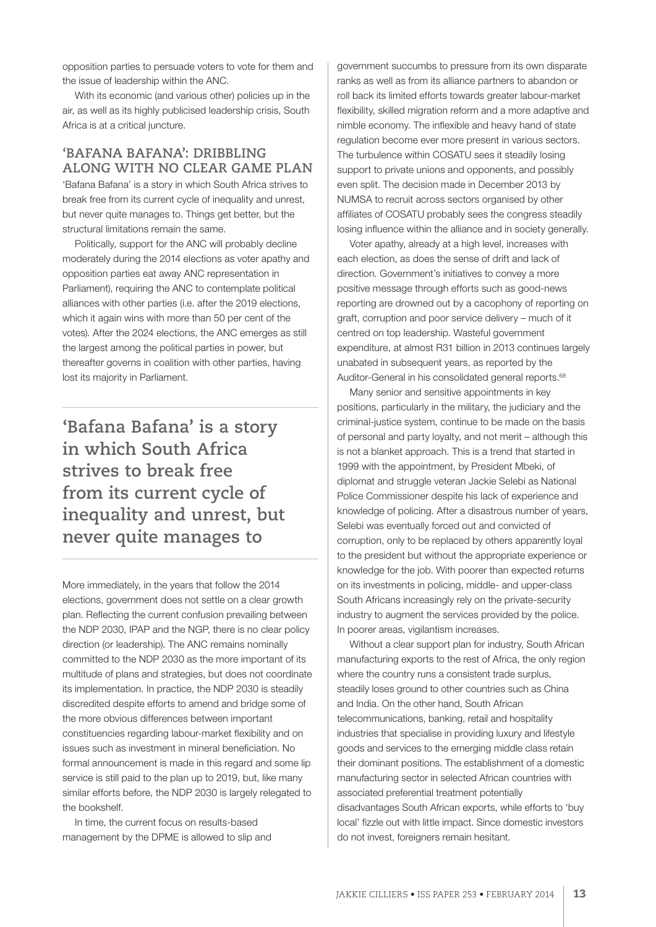opposition parties to persuade voters to vote for them and the issue of leadership within the ANC.

With its economic (and various other) policies up in the air, as well as its highly publicised leadership crisis, South Africa is at a critical juncture.

# **'BAFANA BAFANA': DRIBBLING ALONG WITH NO CLEAR GAME PLAN**

'Bafana Bafana' is a story in which South Africa strives to break free from its current cycle of inequality and unrest, but never quite manages to. Things get better, but the structural limitations remain the same.

Politically, support for the ANC will probably decline moderately during the 2014 elections as voter apathy and opposition parties eat away ANC representation in Parliament), requiring the ANC to contemplate political alliances with other parties (i.e. after the 2019 elections, which it again wins with more than 50 per cent of the votes). After the 2024 elections, the ANC emerges as still the largest among the political parties in power, but thereafter governs in coalition with other parties, having lost its majority in Parliament.

**'Bafana Bafana' is a story in which South Africa strives to break free from its current cycle of inequality and unrest, but never quite manages to**

More immediately, in the years that follow the 2014 elections, government does not settle on a clear growth plan. Reflecting the current confusion prevailing between the NDP 2030, IPAP and the NGP, there is no clear policy direction (or leadership). The ANC remains nominally committed to the NDP 2030 as the more important of its multitude of plans and strategies, but does not coordinate its implementation. In practice, the NDP 2030 is steadily discredited despite efforts to amend and bridge some of the more obvious differences between important constituencies regarding labour-market flexibility and on issues such as investment in mineral beneficiation. No formal announcement is made in this regard and some lip service is still paid to the plan up to 2019, but, like many similar efforts before, the NDP 2030 is largely relegated to the bookshelf.

In time, the current focus on results-based management by the DPME is allowed to slip and government succumbs to pressure from its own disparate ranks as well as from its alliance partners to abandon or roll back its limited efforts towards greater labour-market flexibility, skilled migration reform and a more adaptive and nimble economy. The inflexible and heavy hand of state regulation become ever more present in various sectors. The turbulence within COSATU sees it steadily losing support to private unions and opponents, and possibly even split. The decision made in December 2013 by NUMSA to recruit across sectors organised by other affiliates of COSATU probably sees the congress steadily losing influence within the alliance and in society generally.

Voter apathy, already at a high level, increases with each election, as does the sense of drift and lack of direction. Government's initiatives to convey a more positive message through efforts such as good-news reporting are drowned out by a cacophony of reporting on graft, corruption and poor service delivery – much of it centred on top leadership. Wasteful government expenditure, at almost R31 billion in 2013 continues largely unabated in subsequent years, as reported by the Auditor-General in his consolidated general reports.<sup>68</sup>

Many senior and sensitive appointments in key positions, particularly in the military, the judiciary and the criminal-justice system, continue to be made on the basis of personal and party loyalty, and not merit – although this is not a blanket approach. This is a trend that started in 1999 with the appointment, by President Mbeki, of diplomat and struggle veteran Jackie Selebi as National Police Commissioner despite his lack of experience and knowledge of policing. After a disastrous number of years, Selebi was eventually forced out and convicted of corruption, only to be replaced by others apparently loyal to the president but without the appropriate experience or knowledge for the job. With poorer than expected returns on its investments in policing, middle- and upper-class South Africans increasingly rely on the private-security industry to augment the services provided by the police. In poorer areas, vigilantism increases.

Without a clear support plan for industry, South African manufacturing exports to the rest of Africa, the only region where the country runs a consistent trade surplus, steadily loses ground to other countries such as China and India. On the other hand, South African telecommunications, banking, retail and hospitality industries that specialise in providing luxury and lifestyle goods and services to the emerging middle class retain their dominant positions. The establishment of a domestic manufacturing sector in selected African countries with associated preferential treatment potentially disadvantages South African exports, while efforts to 'buy local' fizzle out with little impact. Since domestic investors do not invest, foreigners remain hesitant.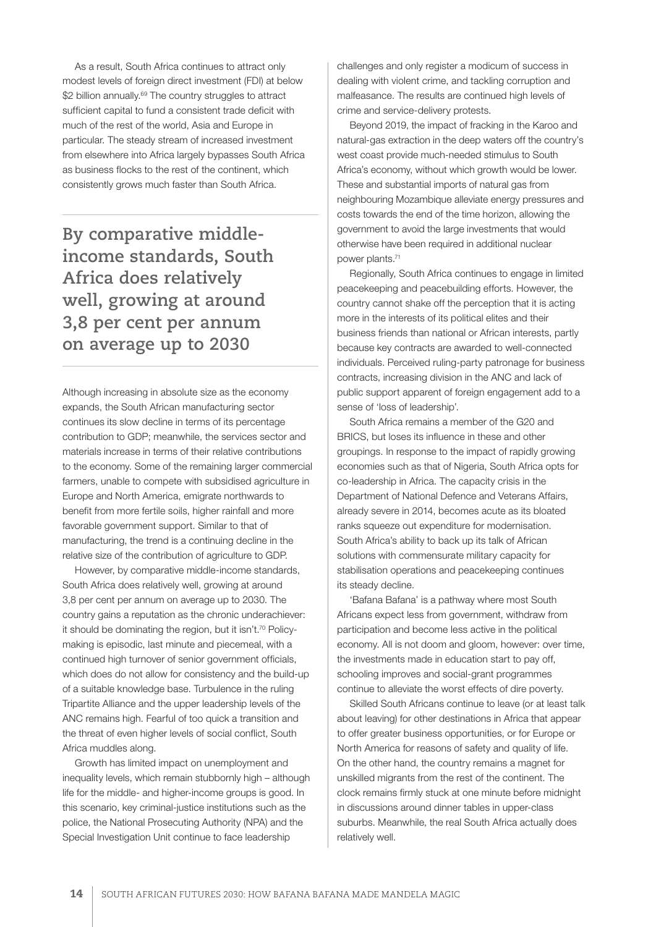As a result, South Africa continues to attract only modest levels of foreign direct investment (FDI) at below \$2 billion annually.<sup>69</sup> The country struggles to attract sufficient capital to fund a consistent trade deficit with much of the rest of the world, Asia and Europe in particular. The steady stream of increased investment from elsewhere into Africa largely bypasses South Africa as business flocks to the rest of the continent, which consistently grows much faster than South Africa.

**By comparative middleincome standards, South Africa does relatively well, growing at around 3,8 per cent per annum on average up to 2030**

Although increasing in absolute size as the economy expands, the South African manufacturing sector continues its slow decline in terms of its percentage contribution to GDP; meanwhile, the services sector and materials increase in terms of their relative contributions to the economy. Some of the remaining larger commercial farmers, unable to compete with subsidised agriculture in Europe and North America, emigrate northwards to benefit from more fertile soils, higher rainfall and more favorable government support. Similar to that of manufacturing, the trend is a continuing decline in the relative size of the contribution of agriculture to GDP.

However, by comparative middle-income standards, South Africa does relatively well, growing at around 3,8 per cent per annum on average up to 2030. The country gains a reputation as the chronic underachiever: it should be dominating the region, but it isn't.<sup>70</sup> Policymaking is episodic, last minute and piecemeal, with a continued high turnover of senior government officials, which does do not allow for consistency and the build-up of a suitable knowledge base. Turbulence in the ruling Tripartite Alliance and the upper leadership levels of the ANC remains high. Fearful of too quick a transition and the threat of even higher levels of social conflict, South Africa muddles along.

Growth has limited impact on unemployment and inequality levels, which remain stubbornly high – although life for the middle- and higher-income groups is good. In this scenario, key criminal-justice institutions such as the police, the National Prosecuting Authority (NPA) and the Special Investigation Unit continue to face leadership

challenges and only register a modicum of success in dealing with violent crime, and tackling corruption and malfeasance. The results are continued high levels of crime and service-delivery protests.

Beyond 2019, the impact of fracking in the Karoo and natural-gas extraction in the deep waters off the country's west coast provide much-needed stimulus to South Africa's economy, without which growth would be lower. These and substantial imports of natural gas from neighbouring Mozambique alleviate energy pressures and costs towards the end of the time horizon, allowing the government to avoid the large investments that would otherwise have been required in additional nuclear power plants.71

Regionally, South Africa continues to engage in limited peacekeeping and peacebuilding efforts. However, the country cannot shake off the perception that it is acting more in the interests of its political elites and their business friends than national or African interests, partly because key contracts are awarded to well-connected individuals. Perceived ruling-party patronage for business contracts, increasing division in the ANC and lack of public support apparent of foreign engagement add to a sense of 'loss of leadership'.

South Africa remains a member of the G20 and BRICS, but loses its influence in these and other groupings. In response to the impact of rapidly growing economies such as that of Nigeria, South Africa opts for co-leadership in Africa. The capacity crisis in the Department of National Defence and Veterans Affairs, already severe in 2014, becomes acute as its bloated ranks squeeze out expenditure for modernisation. South Africa's ability to back up its talk of African solutions with commensurate military capacity for stabilisation operations and peacekeeping continues its steady decline.

'Bafana Bafana' is a pathway where most South Africans expect less from government, withdraw from participation and become less active in the political economy. All is not doom and gloom, however: over time, the investments made in education start to pay off, schooling improves and social-grant programmes continue to alleviate the worst effects of dire poverty.

Skilled South Africans continue to leave (or at least talk about leaving) for other destinations in Africa that appear to offer greater business opportunities, or for Europe or North America for reasons of safety and quality of life. On the other hand, the country remains a magnet for unskilled migrants from the rest of the continent. The clock remains firmly stuck at one minute before midnight in discussions around dinner tables in upper-class suburbs. Meanwhile, the real South Africa actually does relatively well.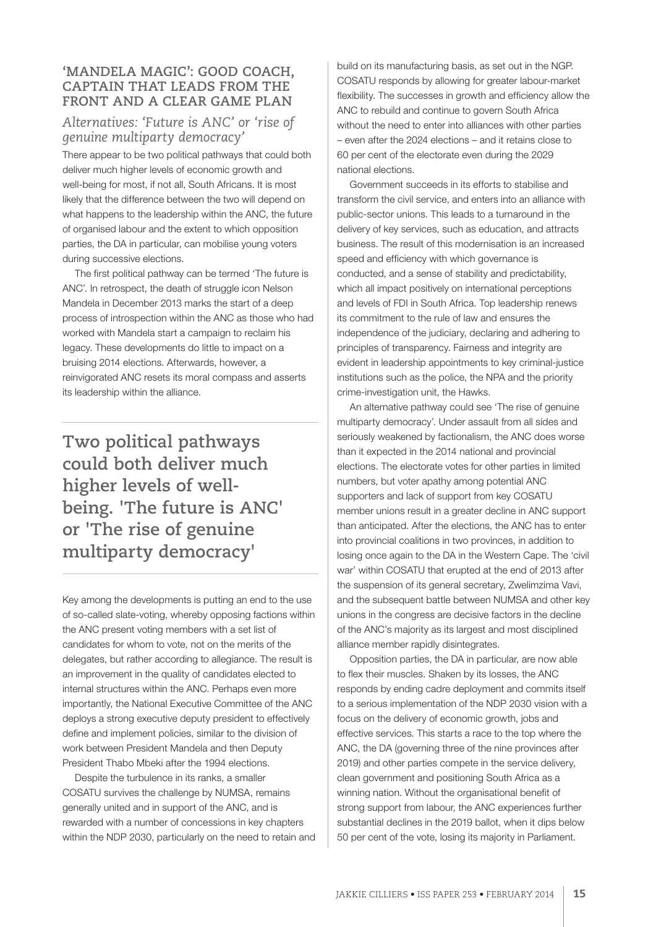# **'MANDELA MAGIC': GOOD COACH, CAPTAIN THAT LEADS FROM THE FRONT AND A CLEAR GAME PLAN**

# *Alternatives: 'Future is ANC' or 'rise of genuine multiparty democracy'*

There appear to be two political pathways that could both deliver much higher levels of economic growth and well-being for most, if not all, South Africans. It is most likely that the difference between the two will depend on what happens to the leadership within the ANC, the future of organised labour and the extent to which opposition parties, the DA in particular, can mobilise young voters during successive elections.

The first political pathway can be termed 'The future is ANC'. In retrospect, the death of struggle icon Nelson Mandela in December 2013 marks the start of a deep process of introspection within the ANC as those who had worked with Mandela start a campaign to reclaim his legacy. These developments do little to impact on a bruising 2014 elections. Afterwards, however, a reinvigorated ANC resets its moral compass and asserts its leadership within the alliance.

**Two political pathways could both deliver much higher levels of wellbeing. 'The future is ANC' or 'The rise of genuine multiparty democracy'**

Key among the developments is putting an end to the use of so-called slate-voting, whereby opposing factions within the ANC present voting members with a set list of candidates for whom to vote, not on the merits of the delegates, but rather according to allegiance. The result is an improvement in the quality of candidates elected to internal structures within the ANC. Perhaps even more importantly, the National Executive Committee of the ANC deploys a strong executive deputy president to effectively define and implement policies, similar to the division of work between President Mandela and then Deputy President Thabo Mbeki after the 1994 elections.

Despite the turbulence in its ranks, a smaller COSATU survives the challenge by NUMSA, remains generally united and in support of the ANC, and is rewarded with a number of concessions in key chapters within the NDP 2030, particularly on the need to retain and build on its manufacturing basis, as set out in the NGP. COSATU responds by allowing for greater labour-market flexibility. The successes in growth and efficiency allow the ANC to rebuild and continue to govern South Africa without the need to enter into alliances with other parties – even after the 2024 elections – and it retains close to 60 per cent of the electorate even during the 2029 national elections.

Government succeeds in its efforts to stabilise and transform the civil service, and enters into an alliance with public-sector unions. This leads to a turnaround in the delivery of key services, such as education, and attracts business. The result of this modernisation is an increased speed and efficiency with which governance is conducted, and a sense of stability and predictability, which all impact positively on international perceptions and levels of FDI in South Africa. Top leadership renews its commitment to the rule of law and ensures the independence of the judiciary, declaring and adhering to principles of transparency. Fairness and integrity are evident in leadership appointments to key criminal-justice institutions such as the police, the NPA and the priority crime-investigation unit, the Hawks.

An alternative pathway could see 'The rise of genuine multiparty democracy'. Under assault from all sides and seriously weakened by factionalism, the ANC does worse than it expected in the 2014 national and provincial elections. The electorate votes for other parties in limited numbers, but voter apathy among potential ANC supporters and lack of support from key COSATU member unions result in a greater decline in ANC support than anticipated. After the elections, the ANC has to enter into provincial coalitions in two provinces, in addition to losing once again to the DA in the Western Cape. The 'civil war' within COSATU that erupted at the end of 2013 after the suspension of its general secretary, Zwelimzima Vavi, and the subsequent battle between NUMSA and other key unions in the congress are decisive factors in the decline of the ANC's majority as its largest and most disciplined alliance member rapidly disintegrates.

Opposition parties, the DA in particular, are now able to flex their muscles. Shaken by its losses, the ANC responds by ending cadre deployment and commits itself to a serious implementation of the NDP 2030 vision with a focus on the delivery of economic growth, jobs and effective services. This starts a race to the top where the ANC, the DA (governing three of the nine provinces after 2019) and other parties compete in the service delivery, clean government and positioning South Africa as a winning nation. Without the organisational benefit of strong support from labour, the ANC experiences further substantial declines in the 2019 ballot, when it dips below 50 per cent of the vote, losing its majority in Parliament.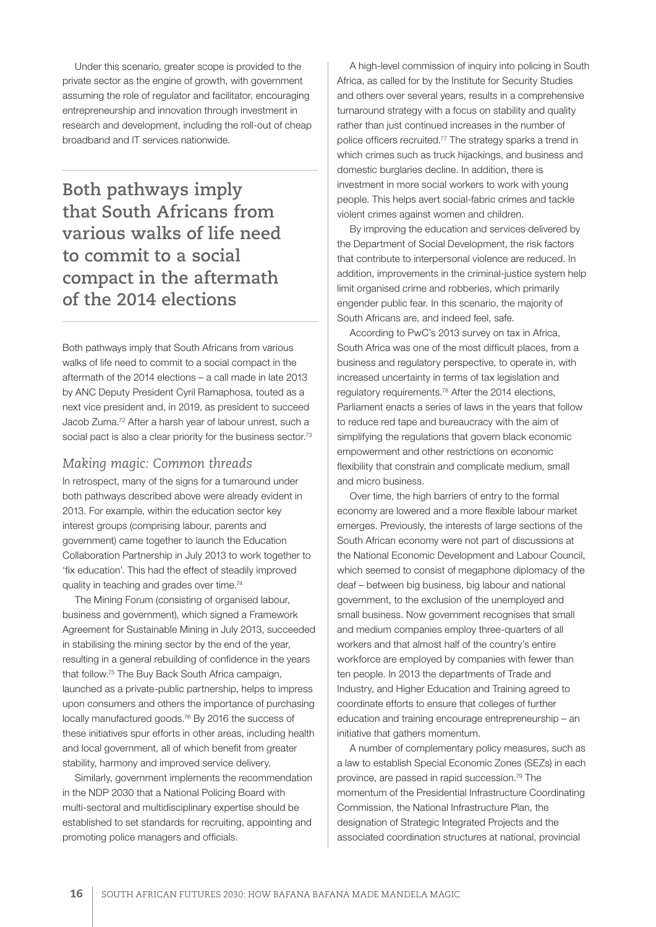Under this scenario, greater scope is provided to the private sector as the engine of growth, with government assuming the role of regulator and facilitator, encouraging entrepreneurship and innovation through investment in research and development, including the roll-out of cheap broadband and IT services nationwide.

**Both pathways imply that South Africans from various walks of life need to commit to a social compact in the aftermath of the 2014 elections**

Both pathways imply that South Africans from various walks of life need to commit to a social compact in the aftermath of the 2014 elections – a call made in late 2013 by ANC Deputy President Cyril Ramaphosa, touted as a next vice president and, in 2019, as president to succeed Jacob Zuma.72 After a harsh year of labour unrest, such a social pact is also a clear priority for the business sector.<sup>73</sup>

# *Making magic: Common threads*

In retrospect, many of the signs for a turnaround under both pathways described above were already evident in 2013. For example, within the education sector key interest groups (comprising labour, parents and government) came together to launch the Education Collaboration Partnership in July 2013 to work together to 'fix education'. This had the effect of steadily improved quality in teaching and grades over time.74

The Mining Forum (consisting of organised labour, business and government), which signed a Framework Agreement for Sustainable Mining in July 2013, succeeded in stabilising the mining sector by the end of the year, resulting in a general rebuilding of confidence in the years that follow.75 The Buy Back South Africa campaign, launched as a private-public partnership, helps to impress upon consumers and others the importance of purchasing locally manufactured goods.<sup>76</sup> By 2016 the success of these initiatives spur efforts in other areas, including health and local government, all of which benefit from greater stability, harmony and improved service delivery.

Similarly, government implements the recommendation in the NDP 2030 that a National Policing Board with multi-sectoral and multidisciplinary expertise should be established to set standards for recruiting, appointing and promoting police managers and officials.

A high-level commission of inquiry into policing in South Africa, as called for by the Institute for Security Studies and others over several years, results in a comprehensive turnaround strategy with a focus on stability and quality rather than just continued increases in the number of police officers recruited.77 The strategy sparks a trend in which crimes such as truck hijackings, and business and domestic burglaries decline. In addition, there is investment in more social workers to work with young people. This helps avert social-fabric crimes and tackle violent crimes against women and children.

By improving the education and services delivered by the Department of Social Development, the risk factors that contribute to interpersonal violence are reduced. In addition, improvements in the criminal-justice system help limit organised crime and robberies, which primarily engender public fear. In this scenario, the majority of South Africans are, and indeed feel, safe.

According to PwC's 2013 survey on tax in Africa, South Africa was one of the most difficult places, from a business and regulatory perspective, to operate in, with increased uncertainty in terms of tax legislation and regulatory requirements.78 After the 2014 elections, Parliament enacts a series of laws in the years that follow to reduce red tape and bureaucracy with the aim of simplifying the regulations that govern black economic empowerment and other restrictions on economic flexibility that constrain and complicate medium, small and micro business.

Over time, the high barriers of entry to the formal economy are lowered and a more flexible labour market emerges. Previously, the interests of large sections of the South African economy were not part of discussions at the National Economic Development and Labour Council, which seemed to consist of megaphone diplomacy of the deaf – between big business, big labour and national government, to the exclusion of the unemployed and small business. Now government recognises that small and medium companies employ three-quarters of all workers and that almost half of the country's entire workforce are employed by companies with fewer than ten people. In 2013 the departments of Trade and Industry, and Higher Education and Training agreed to coordinate efforts to ensure that colleges of further education and training encourage entrepreneurship – an initiative that gathers momentum.

A number of complementary policy measures, such as a law to establish Special Economic Zones (SEZs) in each province, are passed in rapid succession.79 The momentum of the Presidential Infrastructure Coordinating Commission, the National Infrastructure Plan, the designation of Strategic Integrated Projects and the associated coordination structures at national, provincial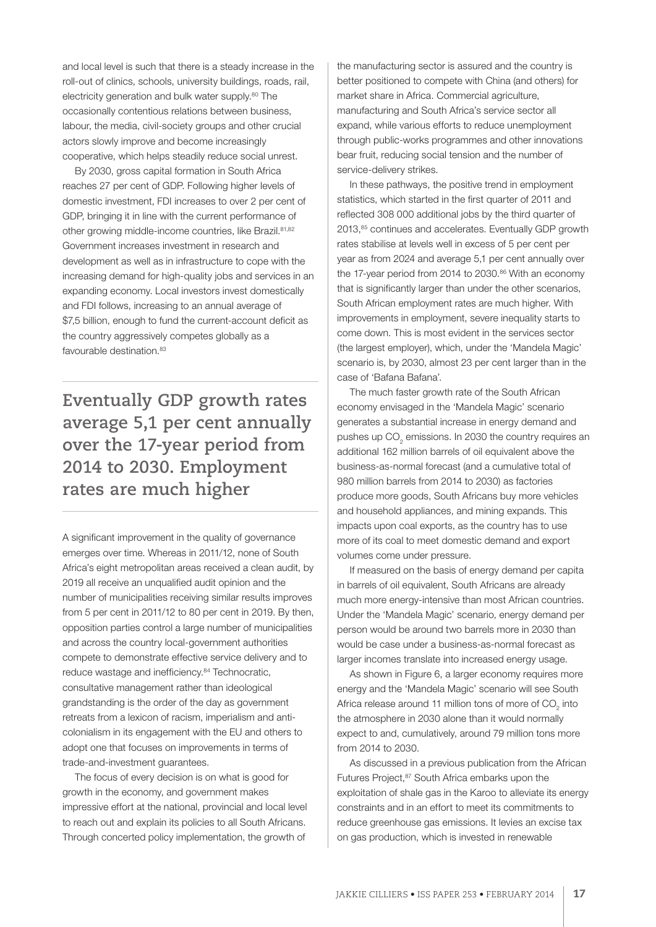and local level is such that there is a steady increase in the roll-out of clinics, schools, university buildings, roads, rail, electricity generation and bulk water supply.<sup>80</sup> The occasionally contentious relations between business, labour, the media, civil-society groups and other crucial actors slowly improve and become increasingly cooperative, which helps steadily reduce social unrest.

By 2030, gross capital formation in South Africa reaches 27 per cent of GDP. Following higher levels of domestic investment, FDI increases to over 2 per cent of GDP, bringing it in line with the current performance of other growing middle-income countries, like Brazil.<sup>81,82</sup> Government increases investment in research and development as well as in infrastructure to cope with the increasing demand for high-quality jobs and services in an expanding economy. Local investors invest domestically and FDI follows, increasing to an annual average of \$7,5 billion, enough to fund the current-account deficit as the country aggressively competes globally as a favourable destination.<sup>83</sup>

**Eventually GDP growth rates average 5,1 per cent annually over the 17-year period from 2014 to 2030. Employment rates are much higher**

A significant improvement in the quality of governance emerges over time. Whereas in 2011/12, none of South Africa's eight metropolitan areas received a clean audit, by 2019 all receive an unqualified audit opinion and the number of municipalities receiving similar results improves from 5 per cent in 2011/12 to 80 per cent in 2019. By then, opposition parties control a large number of municipalities and across the country local-government authorities compete to demonstrate effective service delivery and to reduce wastage and inefficiency.<sup>84</sup> Technocratic, consultative management rather than ideological grandstanding is the order of the day as government retreats from a lexicon of racism, imperialism and anticolonialism in its engagement with the EU and others to adopt one that focuses on improvements in terms of trade-and-investment guarantees.

The focus of every decision is on what is good for growth in the economy, and government makes impressive effort at the national, provincial and local level to reach out and explain its policies to all South Africans. Through concerted policy implementation, the growth of the manufacturing sector is assured and the country is better positioned to compete with China (and others) for market share in Africa. Commercial agriculture, manufacturing and South Africa's service sector all expand, while various efforts to reduce unemployment through public-works programmes and other innovations bear fruit, reducing social tension and the number of service-delivery strikes.

In these pathways, the positive trend in employment statistics, which started in the first quarter of 2011 and reflected 308 000 additional jobs by the third quarter of 2013,85 continues and accelerates. Eventually GDP growth rates stabilise at levels well in excess of 5 per cent per year as from 2024 and average 5,1 per cent annually over the 17-year period from 2014 to 2030.<sup>86</sup> With an economy that is significantly larger than under the other scenarios, South African employment rates are much higher. With improvements in employment, severe inequality starts to come down. This is most evident in the services sector (the largest employer), which, under the 'Mandela Magic' scenario is, by 2030, almost 23 per cent larger than in the case of 'Bafana Bafana'.

The much faster growth rate of the South African economy envisaged in the 'Mandela Magic' scenario generates a substantial increase in energy demand and pushes up  $CO<sub>2</sub>$  emissions. In 2030 the country requires an additional 162 million barrels of oil equivalent above the business-as-normal forecast (and a cumulative total of 980 million barrels from 2014 to 2030) as factories produce more goods, South Africans buy more vehicles and household appliances, and mining expands. This impacts upon coal exports, as the country has to use more of its coal to meet domestic demand and export volumes come under pressure.

If measured on the basis of energy demand per capita in barrels of oil equivalent, South Africans are already much more energy-intensive than most African countries. Under the 'Mandela Magic' scenario, energy demand per person would be around two barrels more in 2030 than would be case under a business-as-normal forecast as larger incomes translate into increased energy usage.

As shown in Figure 6, a larger economy requires more energy and the 'Mandela Magic' scenario will see South Africa release around 11 million tons of more of  $\mathrm{CO}_2^+$  into the atmosphere in 2030 alone than it would normally expect to and, cumulatively, around 79 million tons more from 2014 to 2030.

As discussed in a previous publication from the African Futures Project, <sup>87</sup> South Africa embarks upon the exploitation of shale gas in the Karoo to alleviate its energy constraints and in an effort to meet its commitments to reduce greenhouse gas emissions. It levies an excise tax on gas production, which is invested in renewable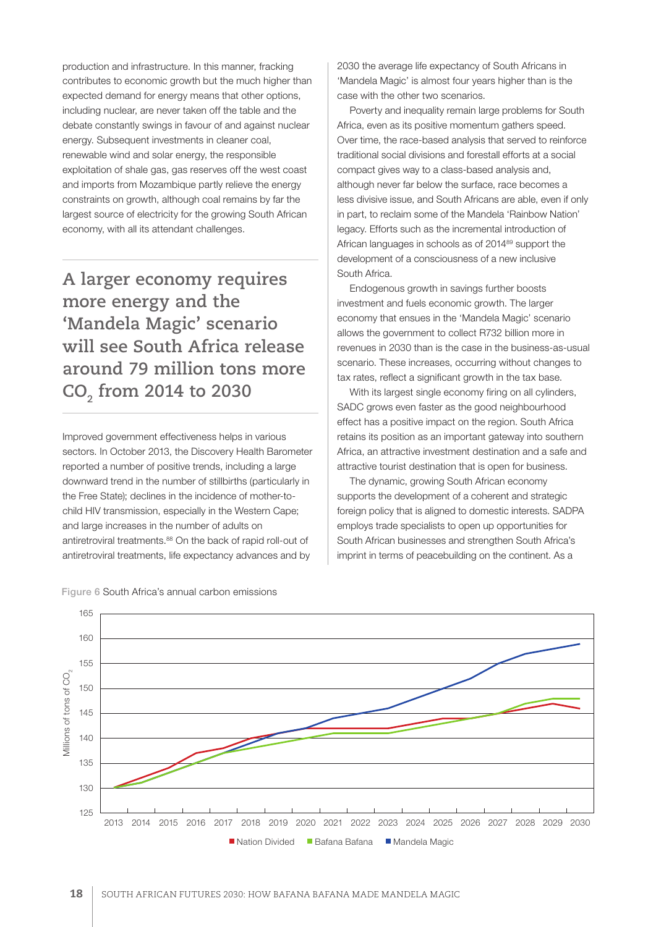production and infrastructure. In this manner, fracking contributes to economic growth but the much higher than expected demand for energy means that other options, including nuclear, are never taken off the table and the debate constantly swings in favour of and against nuclear energy. Subsequent investments in cleaner coal, renewable wind and solar energy, the responsible exploitation of shale gas, gas reserves off the west coast and imports from Mozambique partly relieve the energy constraints on growth, although coal remains by far the largest source of electricity for the growing South African economy, with all its attendant challenges.

**A larger economy requires more energy and the 'Mandela Magic' scenario will see South Africa release around 79 million tons more CO2 from 2014 to 2030**

Improved government effectiveness helps in various sectors. In October 2013, the Discovery Health Barometer reported a number of positive trends, including a large downward trend in the number of stillbirths (particularly in the Free State); declines in the incidence of mother-tochild HIV transmission, especially in the Western Cape; and large increases in the number of adults on antiretroviral treatments.<sup>88</sup> On the back of rapid roll-out of antiretroviral treatments, life expectancy advances and by

2030 the average life expectancy of South Africans in 'Mandela Magic' is almost four years higher than is the case with the other two scenarios.

Poverty and inequality remain large problems for South Africa, even as its positive momentum gathers speed. Over time, the race-based analysis that served to reinforce traditional social divisions and forestall efforts at a social compact gives way to a class-based analysis and, although never far below the surface, race becomes a less divisive issue, and South Africans are able, even if only in part, to reclaim some of the Mandela 'Rainbow Nation' legacy. Efforts such as the incremental introduction of African languages in schools as of 2014<sup>89</sup> support the development of a consciousness of a new inclusive South Africa.

Endogenous growth in savings further boosts investment and fuels economic growth. The larger economy that ensues in the 'Mandela Magic' scenario allows the government to collect R732 billion more in revenues in 2030 than is the case in the business-as-usual scenario. These increases, occurring without changes to tax rates, reflect a significant growth in the tax base.

With its largest single economy firing on all cylinders, SADC grows even faster as the good neighbourhood effect has a positive impact on the region. South Africa retains its position as an important gateway into southern Africa, an attractive investment destination and a safe and attractive tourist destination that is open for business.

The dynamic, growing South African economy supports the development of a coherent and strategic foreign policy that is aligned to domestic interests. SADPA employs trade specialists to open up opportunities for South African businesses and strengthen South Africa's imprint in terms of peacebuilding on the continent. As a



Figure 6 South Africa's annual carbon emissions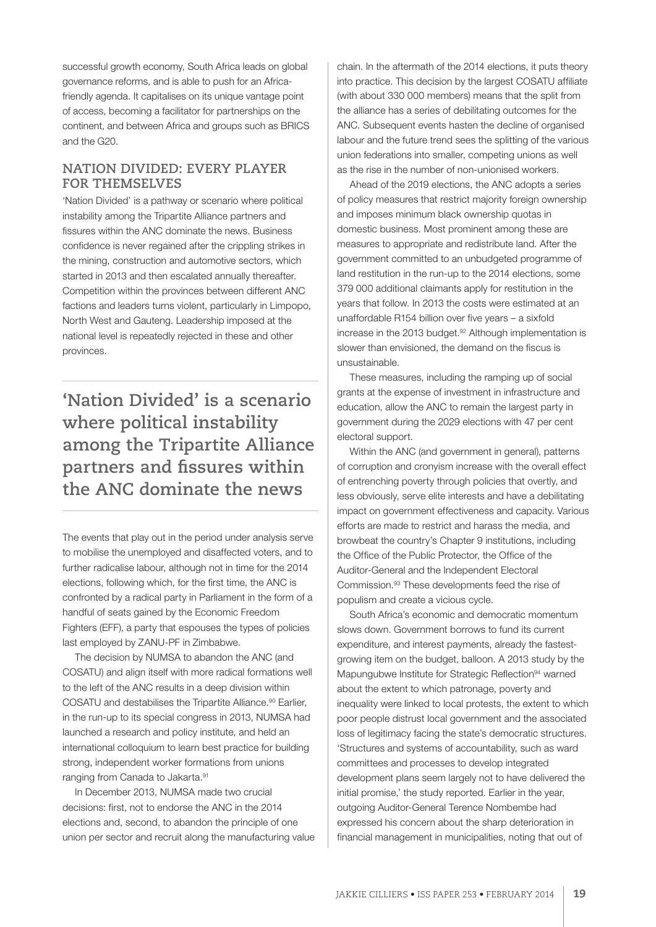successful growth economy, South Africa leads on global governance reforms, and is able to push for an Africafriendly agenda. It capitalises on its unique vantage point of access, becoming a facilitator for partnerships on the continent, and between Africa and groups such as BRICS and the G20.

# **NATION DIVIDED: EVERY PLAYER FOR THEMSELVES**

'Nation Divided' is a pathway or scenario where political instability among the Tripartite Alliance partners and fissures within the ANC dominate the news. Business confidence is never regained after the crippling strikes in the mining, construction and automotive sectors, which started in 2013 and then escalated annually thereafter. Competition within the provinces between different ANC factions and leaders turns violent, particularly in Limpopo, North West and Gauteng. Leadership imposed at the national level is repeatedly rejected in these and other provinces.

**'Nation Divided' is a scenario where political instability among the Tripartite Alliance partners and fissures within the ANC dominate the news**

The events that play out in the period under analysis serve to mobilise the unemployed and disaffected voters, and to further radicalise labour, although not in time for the 2014 elections, following which, for the first time, the ANC is confronted by a radical party in Parliament in the form of a handful of seats gained by the Economic Freedom Fighters (EFF), a party that espouses the types of policies last employed by ZANU-PF in Zimbabwe.

The decision by NUMSA to abandon the ANC (and COSATU) and align itself with more radical formations well to the left of the ANC results in a deep division within COSATU and destabilises the Tripartite Alliance.<sup>90</sup> Earlier, in the run-up to its special congress in 2013, NUMSA had launched a research and policy institute, and held an international colloquium to learn best practice for building strong, independent worker formations from unions ranging from Canada to Jakarta.91

In December 2013, NUMSA made two crucial decisions: first, not to endorse the ANC in the 2014 elections and, second, to abandon the principle of one union per sector and recruit along the manufacturing value chain. In the aftermath of the 2014 elections, it puts theory into practice. This decision by the largest COSATU affiliate (with about 330 000 members) means that the split from the alliance has a series of debilitating outcomes for the ANC. Subsequent events hasten the decline of organised labour and the future trend sees the splitting of the various union federations into smaller, competing unions as well as the rise in the number of non-unionised workers.

Ahead of the 2019 elections, the ANC adopts a series of policy measures that restrict majority foreign ownership and imposes minimum black ownership quotas in domestic business. Most prominent among these are measures to appropriate and redistribute land. After the government committed to an unbudgeted programme of land restitution in the run-up to the 2014 elections, some 379 000 additional claimants apply for restitution in the years that follow. In 2013 the costs were estimated at an unaffordable R154 billion over five years – a sixfold increase in the 2013 budget.<sup>92</sup> Although implementation is slower than envisioned, the demand on the fiscus is unsustainable.

These measures, including the ramping up of social grants at the expense of investment in infrastructure and education, allow the ANC to remain the largest party in government during the 2029 elections with 47 per cent electoral support.

Within the ANC (and government in general), patterns of corruption and cronyism increase with the overall effect of entrenching poverty through policies that overtly, and less obviously, serve elite interests and have a debilitating impact on government effectiveness and capacity. Various efforts are made to restrict and harass the media, and browbeat the country's Chapter 9 institutions, including the Office of the Public Protector, the Office of the Auditor-General and the Independent Electoral Commission.93 These developments feed the rise of populism and create a vicious cycle.

South Africa's economic and democratic momentum slows down. Government borrows to fund its current expenditure, and interest payments, already the fastestgrowing item on the budget, balloon. A 2013 study by the Mapungubwe Institute for Strategic Reflection<sup>94</sup> warned about the extent to which patronage, poverty and inequality were linked to local protests, the extent to which poor people distrust local government and the associated loss of legitimacy facing the state's democratic structures. 'Structures and systems of accountability, such as ward committees and processes to develop integrated development plans seem largely not to have delivered the initial promise,' the study reported. Earlier in the year, outgoing Auditor-General Terence Nombembe had expressed his concern about the sharp deterioration in financial management in municipalities, noting that out of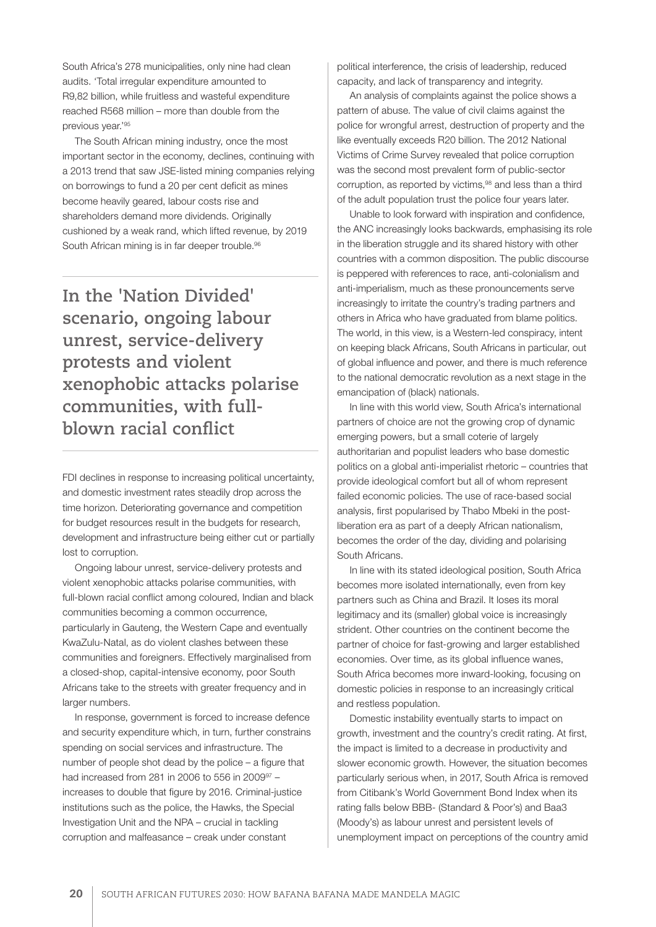South Africa's 278 municipalities, only nine had clean audits. 'Total irregular expenditure amounted to R9,82 billion, while fruitless and wasteful expenditure reached R568 million – more than double from the previous year.'95

The South African mining industry, once the most important sector in the economy, declines, continuing with a 2013 trend that saw JSE-listed mining companies relying on borrowings to fund a 20 per cent deficit as mines become heavily geared, labour costs rise and shareholders demand more dividends. Originally cushioned by a weak rand, which lifted revenue, by 2019 South African mining is in far deeper trouble.<sup>96</sup>

**In the 'Nation Divided' scenario, ongoing labour unrest, service-delivery protests and violent xenophobic attacks polarise communities, with fullblown racial conflict** 

FDI declines in response to increasing political uncertainty, and domestic investment rates steadily drop across the time horizon. Deteriorating governance and competition for budget resources result in the budgets for research, development and infrastructure being either cut or partially lost to corruption.

Ongoing labour unrest, service-delivery protests and violent xenophobic attacks polarise communities, with full-blown racial conflict among coloured, Indian and black communities becoming a common occurrence, particularly in Gauteng, the Western Cape and eventually KwaZulu-Natal, as do violent clashes between these communities and foreigners. Effectively marginalised from a closed-shop, capital-intensive economy, poor South Africans take to the streets with greater frequency and in larger numbers.

In response, government is forced to increase defence and security expenditure which, in turn, further constrains spending on social services and infrastructure. The number of people shot dead by the police – a figure that had increased from 281 in 2006 to 556 in 2009<sup>97</sup> increases to double that figure by 2016. Criminal-justice institutions such as the police, the Hawks, the Special Investigation Unit and the NPA – crucial in tackling corruption and malfeasance – creak under constant

political interference, the crisis of leadership, reduced capacity, and lack of transparency and integrity.

An analysis of complaints against the police shows a pattern of abuse. The value of civil claims against the police for wrongful arrest, destruction of property and the like eventually exceeds R20 billion. The 2012 National Victims of Crime Survey revealed that police corruption was the second most prevalent form of public-sector corruption, as reported by victims,<sup>98</sup> and less than a third of the adult population trust the police four years later.

Unable to look forward with inspiration and confidence, the ANC increasingly looks backwards, emphasising its role in the liberation struggle and its shared history with other countries with a common disposition. The public discourse is peppered with references to race, anti-colonialism and anti-imperialism, much as these pronouncements serve increasingly to irritate the country's trading partners and others in Africa who have graduated from blame politics. The world, in this view, is a Western-led conspiracy, intent on keeping black Africans, South Africans in particular, out of global influence and power, and there is much reference to the national democratic revolution as a next stage in the emancipation of (black) nationals.

In line with this world view, South Africa's international partners of choice are not the growing crop of dynamic emerging powers, but a small coterie of largely authoritarian and populist leaders who base domestic politics on a global anti-imperialist rhetoric – countries that provide ideological comfort but all of whom represent failed economic policies. The use of race-based social analysis, first popularised by Thabo Mbeki in the postliberation era as part of a deeply African nationalism, becomes the order of the day, dividing and polarising South Africans.

In line with its stated ideological position, South Africa becomes more isolated internationally, even from key partners such as China and Brazil. It loses its moral legitimacy and its (smaller) global voice is increasingly strident. Other countries on the continent become the partner of choice for fast-growing and larger established economies. Over time, as its global influence wanes, South Africa becomes more inward-looking, focusing on domestic policies in response to an increasingly critical and restless population.

Domestic instability eventually starts to impact on growth, investment and the country's credit rating. At first, the impact is limited to a decrease in productivity and slower economic growth. However, the situation becomes particularly serious when, in 2017, South Africa is removed from Citibank's World Government Bond Index when its rating falls below BBB- (Standard & Poor's) and Baa3 (Moody's) as labour unrest and persistent levels of unemployment impact on perceptions of the country amid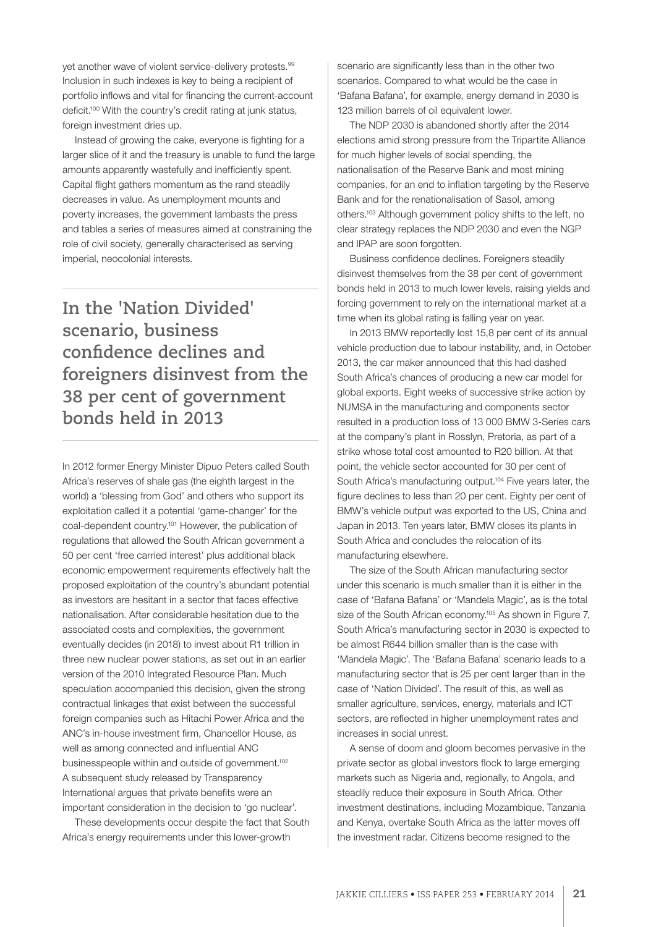yet another wave of violent service-delivery protests.<sup>99</sup> Inclusion in such indexes is key to being a recipient of portfolio inflows and vital for financing the current-account deficit.100 With the country's credit rating at junk status, foreign investment dries up.

Instead of growing the cake, everyone is fighting for a larger slice of it and the treasury is unable to fund the large amounts apparently wastefully and inefficiently spent. Capital flight gathers momentum as the rand steadily decreases in value. As unemployment mounts and poverty increases, the government lambasts the press and tables a series of measures aimed at constraining the role of civil society, generally characterised as serving imperial, neocolonial interests.

# **In the 'Nation Divided' scenario, business**  confidence declines and **foreigners disinvest from the 38 per cent of government bonds held in 2013**

In 2012 former Energy Minister Dipuo Peters called South Africa's reserves of shale gas (the eighth largest in the world) a 'blessing from God' and others who support its exploitation called it a potential 'game-changer' for the coal-dependent country.101 However, the publication of regulations that allowed the South African government a 50 per cent 'free carried interest' plus additional black economic empowerment requirements effectively halt the proposed exploitation of the country's abundant potential as investors are hesitant in a sector that faces effective nationalisation. After considerable hesitation due to the associated costs and complexities, the government eventually decides (in 2018) to invest about R1 trillion in three new nuclear power stations, as set out in an earlier version of the 2010 Integrated Resource Plan. Much speculation accompanied this decision, given the strong contractual linkages that exist between the successful foreign companies such as Hitachi Power Africa and the ANC's in-house investment firm, Chancellor House, as well as among connected and influential ANC businesspeople within and outside of government.<sup>102</sup> A subsequent study released by Transparency International argues that private benefits were an important consideration in the decision to 'go nuclear'.

These developments occur despite the fact that South Africa's energy requirements under this lower-growth

scenario are significantly less than in the other two scenarios. Compared to what would be the case in 'Bafana Bafana', for example, energy demand in 2030 is 123 million barrels of oil equivalent lower.

The NDP 2030 is abandoned shortly after the 2014 elections amid strong pressure from the Tripartite Alliance for much higher levels of social spending, the nationalisation of the Reserve Bank and most mining companies, for an end to inflation targeting by the Reserve Bank and for the renationalisation of Sasol, among others.103 Although government policy shifts to the left, no clear strategy replaces the NDP 2030 and even the NGP and IPAP are soon forgotten.

Business confidence declines. Foreigners steadily disinvest themselves from the 38 per cent of government bonds held in 2013 to much lower levels, raising yields and forcing government to rely on the international market at a time when its global rating is falling year on year.

In 2013 BMW reportedly lost 15,8 per cent of its annual vehicle production due to labour instability, and, in October 2013, the car maker announced that this had dashed South Africa's chances of producing a new car model for global exports. Eight weeks of successive strike action by NUMSA in the manufacturing and components sector resulted in a production loss of 13 000 BMW 3-Series cars at the company's plant in Rosslyn, Pretoria, as part of a strike whose total cost amounted to R20 billion. At that point, the vehicle sector accounted for 30 per cent of South Africa's manufacturing output.<sup>104</sup> Five years later, the figure declines to less than 20 per cent. Eighty per cent of BMW's vehicle output was exported to the US, China and Japan in 2013. Ten years later, BMW closes its plants in South Africa and concludes the relocation of its manufacturing elsewhere.

The size of the South African manufacturing sector under this scenario is much smaller than it is either in the case of 'Bafana Bafana' or 'Mandela Magic', as is the total size of the South African economy.<sup>105</sup> As shown in Figure 7, South Africa's manufacturing sector in 2030 is expected to be almost R644 billion smaller than is the case with 'Mandela Magic'. The 'Bafana Bafana' scenario leads to a manufacturing sector that is 25 per cent larger than in the case of 'Nation Divided'. The result of this, as well as smaller agriculture, services, energy, materials and ICT sectors, are reflected in higher unemployment rates and increases in social unrest.

A sense of doom and gloom becomes pervasive in the private sector as global investors flock to large emerging markets such as Nigeria and, regionally, to Angola, and steadily reduce their exposure in South Africa. Other investment destinations, including Mozambique, Tanzania and Kenya, overtake South Africa as the latter moves off the investment radar. Citizens become resigned to the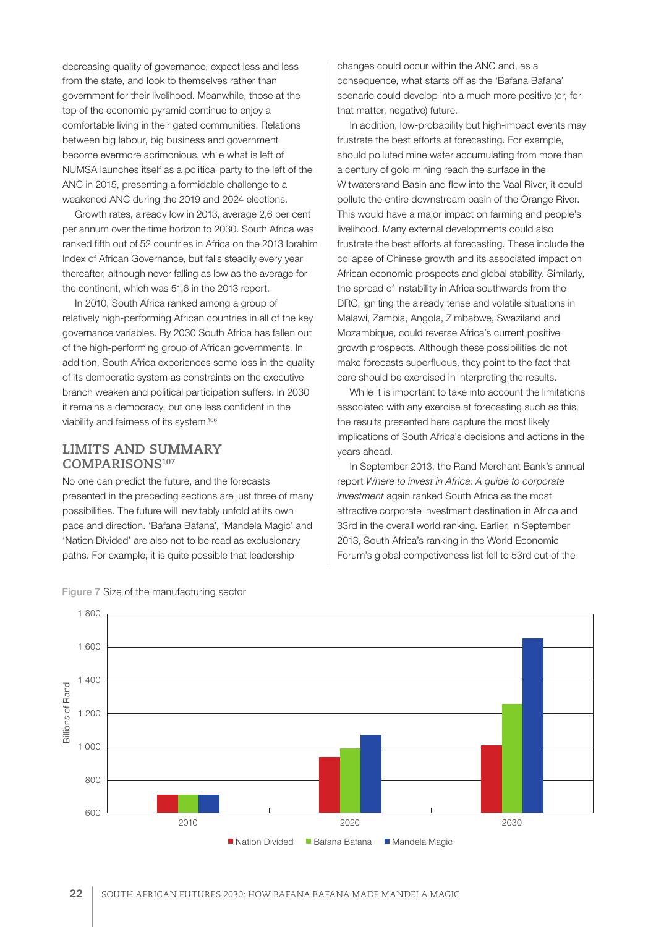decreasing quality of governance, expect less and less from the state, and look to themselves rather than government for their livelihood. Meanwhile, those at the top of the economic pyramid continue to enjoy a comfortable living in their gated communities. Relations between big labour, big business and government become evermore acrimonious, while what is left of NUMSA launches itself as a political party to the left of the ANC in 2015, presenting a formidable challenge to a weakened ANC during the 2019 and 2024 elections.

Growth rates, already low in 2013, average 2,6 per cent per annum over the time horizon to 2030. South Africa was ranked fifth out of 52 countries in Africa on the 2013 Ibrahim Index of African Governance, but falls steadily every year thereafter, although never falling as low as the average for the continent, which was 51,6 in the 2013 report.

In 2010, South Africa ranked among a group of relatively high-performing African countries in all of the key governance variables. By 2030 South Africa has fallen out of the high-performing group of African governments. In addition, South Africa experiences some loss in the quality of its democratic system as constraints on the executive branch weaken and political participation suffers. In 2030 it remains a democracy, but one less confident in the viability and fairness of its system.106

### **LIMITS AND SUMMARY COMPARISONS107**

No one can predict the future, and the forecasts presented in the preceding sections are just three of many possibilities. The future will inevitably unfold at its own pace and direction. 'Bafana Bafana', 'Mandela Magic' and 'Nation Divided' are also not to be read as exclusionary paths. For example, it is quite possible that leadership

changes could occur within the ANC and, as a consequence, what starts off as the 'Bafana Bafana' scenario could develop into a much more positive (or, for that matter, negative) future.

In addition, low-probability but high-impact events may frustrate the best efforts at forecasting. For example, should polluted mine water accumulating from more than a century of gold mining reach the surface in the Witwatersrand Basin and flow into the Vaal River, it could pollute the entire downstream basin of the Orange River. This would have a major impact on farming and people's livelihood. Many external developments could also frustrate the best efforts at forecasting. These include the collapse of Chinese growth and its associated impact on African economic prospects and global stability. Similarly, the spread of instability in Africa southwards from the DRC, igniting the already tense and volatile situations in Malawi, Zambia, Angola, Zimbabwe, Swaziland and Mozambique, could reverse Africa's current positive growth prospects. Although these possibilities do not make forecasts superfluous, they point to the fact that care should be exercised in interpreting the results.

While it is important to take into account the limitations associated with any exercise at forecasting such as this, the results presented here capture the most likely implications of South Africa's decisions and actions in the years ahead.

In September 2013, the Rand Merchant Bank's annual report *Where to invest in Africa: A guide to corporate investment* again ranked South Africa as the most attractive corporate investment destination in Africa and 33rd in the overall world ranking. Earlier, in September 2013, South Africa's ranking in the World Economic Forum's global competiveness list fell to 53rd out of the



Figure 7 Size of the manufacturing sector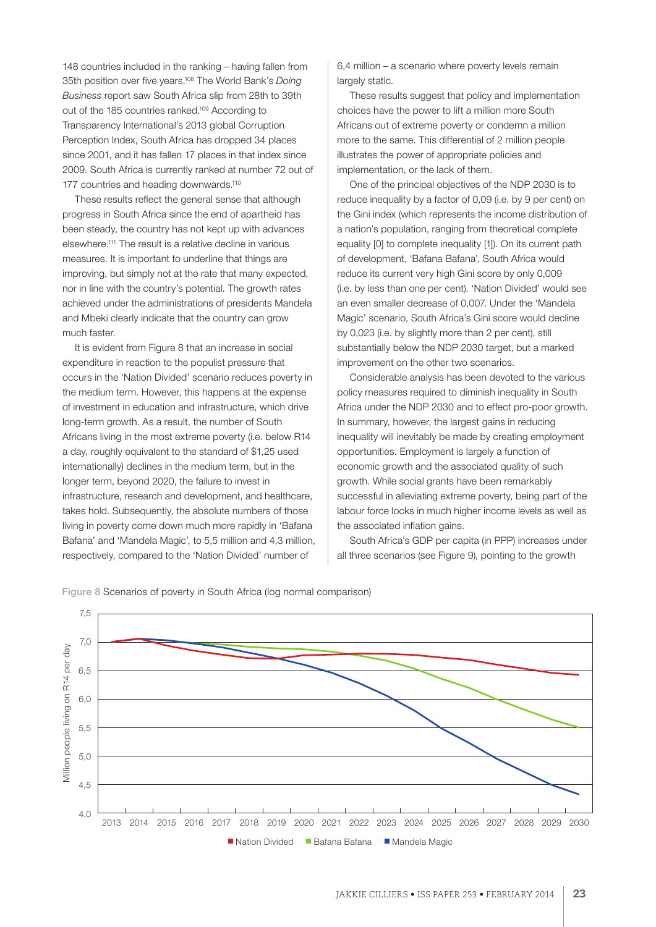148 countries included in the ranking – having fallen from 35th position over five years.108 The World Bank's *Doing Business* report saw South Africa slip from 28th to 39th out of the 185 countries ranked.109 According to Transparency International's 2013 global Corruption Perception Index, South Africa has dropped 34 places since 2001, and it has fallen 17 places in that index since 2009. South Africa is currently ranked at number 72 out of 177 countries and heading downwards.<sup>110</sup>

These results reflect the general sense that although progress in South Africa since the end of apartheid has been steady, the country has not kept up with advances elsewhere.111 The result is a relative decline in various measures. It is important to underline that things are improving, but simply not at the rate that many expected, nor in line with the country's potential. The growth rates achieved under the administrations of presidents Mandela and Mbeki clearly indicate that the country can grow much faster.

It is evident from Figure 8 that an increase in social expenditure in reaction to the populist pressure that occurs in the 'Nation Divided' scenario reduces poverty in the medium term. However, this happens at the expense of investment in education and infrastructure, which drive long-term growth. As a result, the number of South Africans living in the most extreme poverty (i.e. below R14 a day, roughly equivalent to the standard of \$1,25 used internationally) declines in the medium term, but in the longer term, beyond 2020, the failure to invest in infrastructure, research and development, and healthcare, takes hold. Subsequently, the absolute numbers of those living in poverty come down much more rapidly in 'Bafana Bafana' and 'Mandela Magic', to 5,5 million and 4,3 million, respectively, compared to the 'Nation Divided' number of

6,4 million – a scenario where poverty levels remain largely static.

These results suggest that policy and implementation choices have the power to lift a million more South Africans out of extreme poverty or condemn a million more to the same. This differential of 2 million people illustrates the power of appropriate policies and implementation, or the lack of them.

One of the principal objectives of the NDP 2030 is to reduce inequality by a factor of 0,09 (i.e. by 9 per cent) on the Gini index (which represents the income distribution of a nation's population, ranging from theoretical complete equality [0] to complete inequality [1]). On its current path of development, 'Bafana Bafana', South Africa would reduce its current very high Gini score by only 0,009 (i.e. by less than one per cent). 'Nation Divided' would see an even smaller decrease of 0,007. Under the 'Mandela Magic' scenario, South Africa's Gini score would decline by 0,023 (i.e. by slightly more than 2 per cent), still substantially below the NDP 2030 target, but a marked improvement on the other two scenarios.

Considerable analysis has been devoted to the various policy measures required to diminish inequality in South Africa under the NDP 2030 and to effect pro-poor growth. In summary, however, the largest gains in reducing inequality will inevitably be made by creating employment opportunities. Employment is largely a function of economic growth and the associated quality of such growth. While social grants have been remarkably successful in alleviating extreme poverty, being part of the labour force locks in much higher income levels as well as the associated inflation gains.

South Africa's GDP per capita (in PPP) increases under all three scenarios (see Figure 9), pointing to the growth



Figure 8 Scenarios of poverty in South Africa (log normal comparison)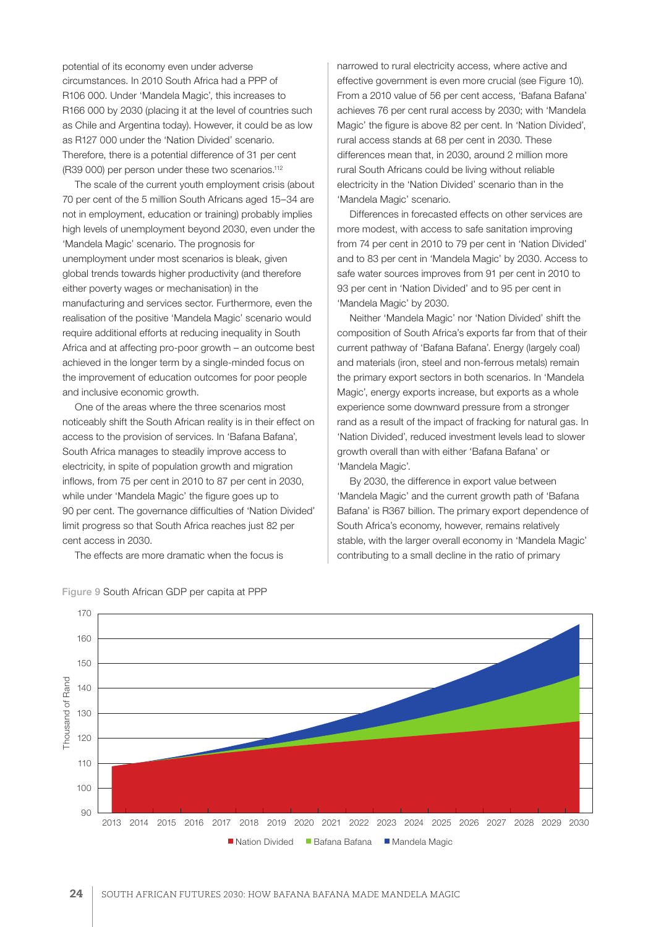potential of its economy even under adverse circumstances. In 2010 South Africa had a PPP of R106 000. Under 'Mandela Magic', this increases to R166 000 by 2030 (placing it at the level of countries such as Chile and Argentina today). However, it could be as low as R127 000 under the 'Nation Divided' scenario. Therefore, there is a potential difference of 31 per cent (R39 000) per person under these two scenarios.112

The scale of the current youth employment crisis (about 70 per cent of the 5 million South Africans aged 15–34 are not in employment, education or training) probably implies high levels of unemployment beyond 2030, even under the 'Mandela Magic' scenario. The prognosis for unemployment under most scenarios is bleak, given global trends towards higher productivity (and therefore either poverty wages or mechanisation) in the manufacturing and services sector. Furthermore, even the realisation of the positive 'Mandela Magic' scenario would require additional efforts at reducing inequality in South Africa and at affecting pro-poor growth – an outcome best achieved in the longer term by a single-minded focus on the improvement of education outcomes for poor people and inclusive economic growth.

One of the areas where the three scenarios most noticeably shift the South African reality is in their effect on access to the provision of services. In 'Bafana Bafana', South Africa manages to steadily improve access to electricity, in spite of population growth and migration inflows, from 75 per cent in 2010 to 87 per cent in 2030, while under 'Mandela Magic' the figure goes up to 90 per cent. The governance difficulties of 'Nation Divided' limit progress so that South Africa reaches just 82 per cent access in 2030.

The effects are more dramatic when the focus is

narrowed to rural electricity access, where active and effective government is even more crucial (see Figure 10). From a 2010 value of 56 per cent access, 'Bafana Bafana' achieves 76 per cent rural access by 2030; with 'Mandela Magic' the figure is above 82 per cent. In 'Nation Divided', rural access stands at 68 per cent in 2030. These differences mean that, in 2030, around 2 million more rural South Africans could be living without reliable electricity in the 'Nation Divided' scenario than in the 'Mandela Magic' scenario.

Differences in forecasted effects on other services are more modest, with access to safe sanitation improving from 74 per cent in 2010 to 79 per cent in 'Nation Divided' and to 83 per cent in 'Mandela Magic' by 2030. Access to safe water sources improves from 91 per cent in 2010 to 93 per cent in 'Nation Divided' and to 95 per cent in 'Mandela Magic' by 2030.

Neither 'Mandela Magic' nor 'Nation Divided' shift the composition of South Africa's exports far from that of their current pathway of 'Bafana Bafana'. Energy (largely coal) and materials (iron, steel and non-ferrous metals) remain the primary export sectors in both scenarios. In 'Mandela Magic', energy exports increase, but exports as a whole experience some downward pressure from a stronger rand as a result of the impact of fracking for natural gas. In 'Nation Divided', reduced investment levels lead to slower growth overall than with either 'Bafana Bafana' or 'Mandela Magic'.

By 2030, the difference in export value between 'Mandela Magic' and the current growth path of 'Bafana Bafana' is R367 billion. The primary export dependence of South Africa's economy, however, remains relatively stable, with the larger overall economy in 'Mandela Magic' contributing to a small decline in the ratio of primary



Figure 9 South African GDP per capita at PPP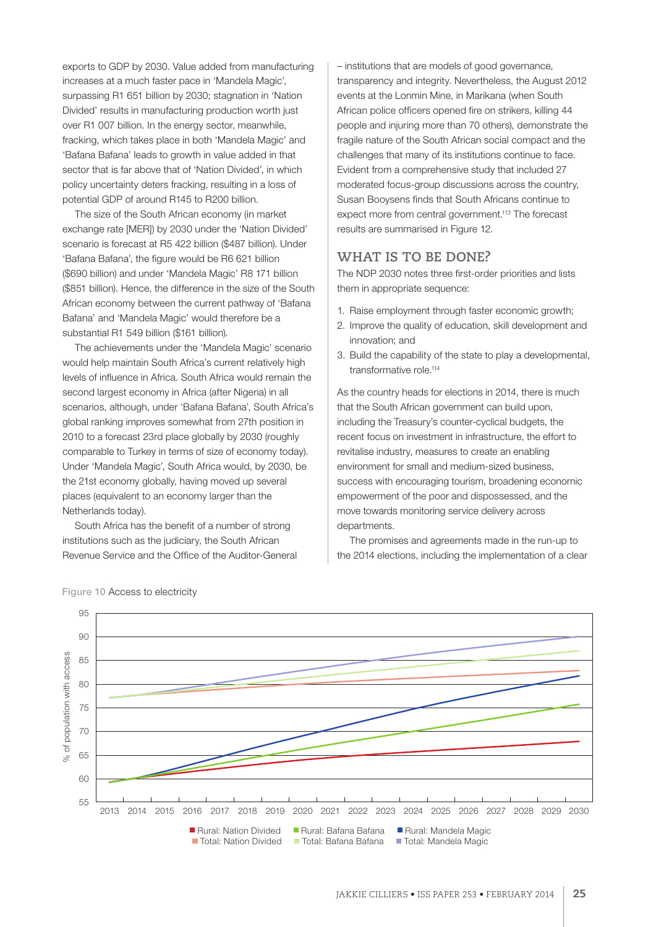exports to GDP by 2030. Value added from manufacturing increases at a much faster pace in 'Mandela Magic', surpassing R1 651 billion by 2030; stagnation in 'Nation Divided' results in manufacturing production worth just over R1 007 billion. In the energy sector, meanwhile, fracking, which takes place in both 'Mandela Magic' and 'Bafana Bafana' leads to growth in value added in that sector that is far above that of 'Nation Divided', in which policy uncertainty deters fracking, resulting in a loss of potential GDP of around R145 to R200 billion.

The size of the South African economy (in market exchange rate [MER]) by 2030 under the 'Nation Divided' scenario is forecast at R5 422 billion (\$487 billion). Under 'Bafana Bafana', the figure would be R6 621 billion (\$690 billion) and under 'Mandela Magic' R8 171 billion (\$851 billion). Hence, the difference in the size of the South African economy between the current pathway of 'Bafana Bafana' and 'Mandela Magic' would therefore be a substantial R1 549 billion (\$161 billion).

The achievements under the 'Mandela Magic' scenario would help maintain South Africa's current relatively high levels of influence in Africa. South Africa would remain the second largest economy in Africa (after Nigeria) in all scenarios, although, under 'Bafana Bafana', South Africa's global ranking improves somewhat from 27th position in 2010 to a forecast 23rd place globally by 2030 (roughly comparable to Turkey in terms of size of economy today). Under 'Mandela Magic', South Africa would, by 2030, be the 21st economy globally, having moved up several places (equivalent to an economy larger than the Netherlands today).

South Africa has the benefit of a number of strong institutions such as the judiciary, the South African Revenue Service and the Office of the Auditor-General – institutions that are models of good governance, transparency and integrity. Nevertheless, the August 2012 events at the Lonmin Mine, in Marikana (when South African police officers opened fire on strikers, killing 44 people and injuring more than 70 others), demonstrate the fragile nature of the South African social compact and the challenges that many of its institutions continue to face. Evident from a comprehensive study that included 27 moderated focus-group discussions across the country, Susan Booysens finds that South Africans continue to expect more from central government.<sup>113</sup> The forecast results are summarised in Figure 12.

# **WHAT IS TO BE DONE?**

The NDP 2030 notes three first-order priorities and lists them in appropriate sequence:

- 1. Raise employment through faster economic growth;
- 2. Improve the quality of education, skill development and innovation; and
- 3. Build the capability of the state to play a developmental, transformative role.114

As the country heads for elections in 2014, there is much that the South African government can build upon, including the Treasury's counter-cyclical budgets, the recent focus on investment in infrastructure, the effort to revitalise industry, measures to create an enabling environment for small and medium-sized business, success with encouraging tourism, broadening economic empowerment of the poor and dispossessed, and the move towards monitoring service delivery across departments.

The promises and agreements made in the run-up to the 2014 elections, including the implementation of a clear



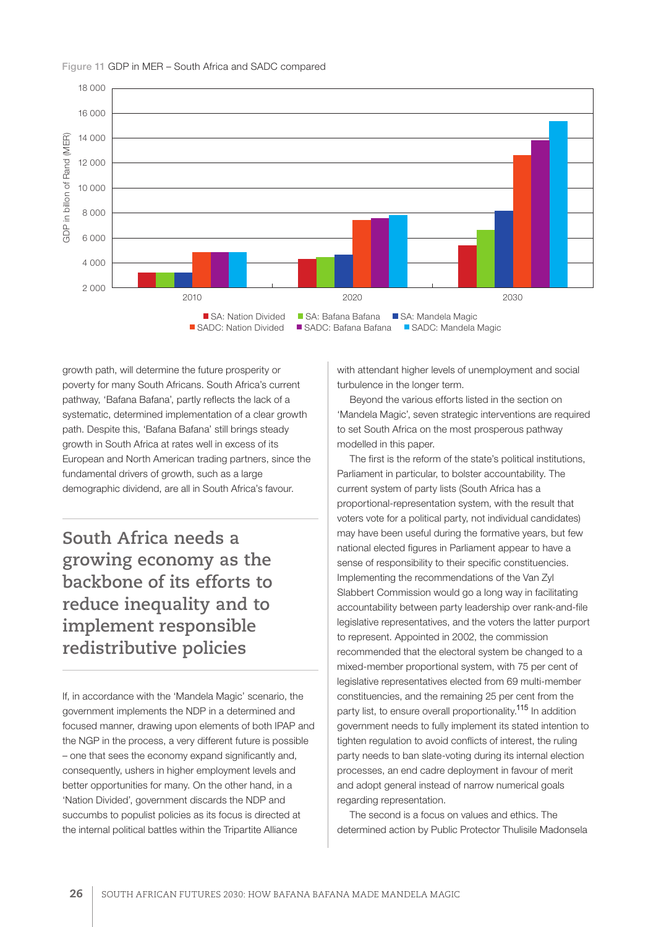

#### Figure 11 GDP in MER – South Africa and SADC compared

growth path, will determine the future prosperity or poverty for many South Africans. South Africa's current pathway, 'Bafana Bafana', partly reflects the lack of a systematic, determined implementation of a clear growth path. Despite this, 'Bafana Bafana' still brings steady growth in South Africa at rates well in excess of its European and North American trading partners, since the fundamental drivers of growth, such as a large demographic dividend, are all in South Africa's favour.

**South Africa needs a growing economy as the backbone of its efforts to reduce inequality and to implement responsible redistributive policies**

If, in accordance with the 'Mandela Magic' scenario, the government implements the NDP in a determined and focused manner, drawing upon elements of both IPAP and the NGP in the process, a very different future is possible – one that sees the economy expand significantly and, consequently, ushers in higher employment levels and better opportunities for many. On the other hand, in a 'Nation Divided', government discards the NDP and succumbs to populist policies as its focus is directed at the internal political battles within the Tripartite Alliance

with attendant higher levels of unemployment and social turbulence in the longer term.

Beyond the various efforts listed in the section on 'Mandela Magic', seven strategic interventions are required to set South Africa on the most prosperous pathway modelled in this paper.

The first is the reform of the state's political institutions, Parliament in particular, to bolster accountability. The current system of party lists (South Africa has a proportional-representation system, with the result that voters vote for a political party, not individual candidates) may have been useful during the formative years, but few national elected figures in Parliament appear to have a sense of responsibility to their specific constituencies. Implementing the recommendations of the Van Zyl Slabbert Commission would go a long way in facilitating accountability between party leadership over rank-and-file legislative representatives, and the voters the latter purport to represent. Appointed in 2002, the commission recommended that the electoral system be changed to a mixed-member proportional system, with 75 per cent of legislative representatives elected from 69 multi-member constituencies, and the remaining 25 per cent from the party list, to ensure overall proportionality.<sup>115</sup> In addition government needs to fully implement its stated intention to tighten regulation to avoid conflicts of interest, the ruling party needs to ban slate-voting during its internal election processes, an end cadre deployment in favour of merit and adopt general instead of narrow numerical goals regarding representation.

The second is a focus on values and ethics. The determined action by Public Protector Thulisile Madonsela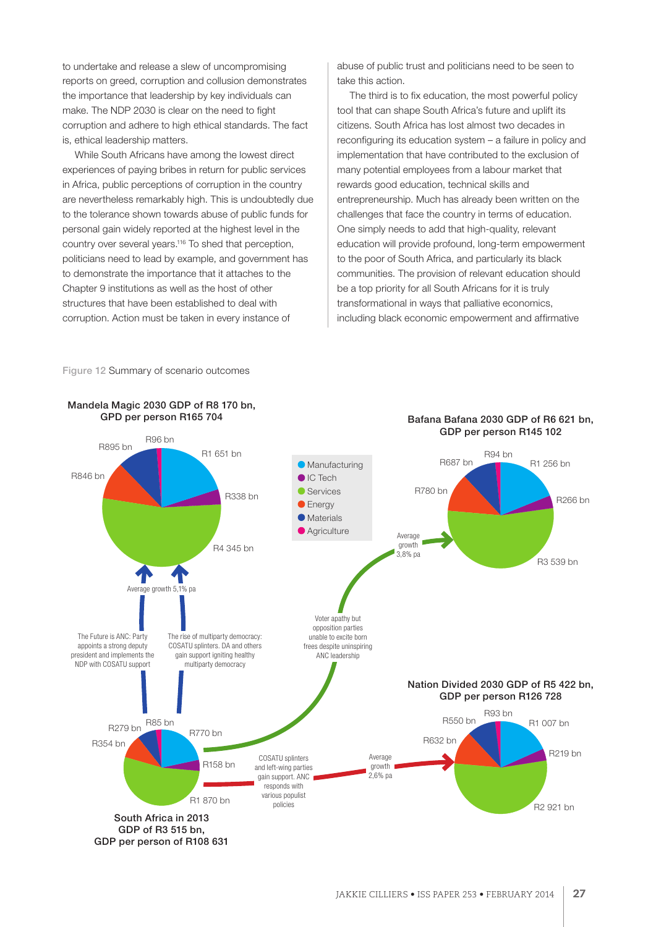to undertake and release a slew of uncompromising reports on greed, corruption and collusion demonstrates the importance that leadership by key individuals can make. The NDP 2030 is clear on the need to fight corruption and adhere to high ethical standards. The fact is, ethical leadership matters.

While South Africans have among the lowest direct experiences of paying bribes in return for public services in Africa, public perceptions of corruption in the country are nevertheless remarkably high. This is undoubtedly due to the tolerance shown towards abuse of public funds for personal gain widely reported at the highest level in the country over several years.116 To shed that perception, politicians need to lead by example, and government has to demonstrate the importance that it attaches to the Chapter 9 institutions as well as the host of other structures that have been established to deal with corruption. Action must be taken in every instance of

abuse of public trust and politicians need to be seen to take this action.

The third is to fix education, the most powerful policy tool that can shape South Africa's future and uplift its citizens. South Africa has lost almost two decades in reconfiguring its education system – a failure in policy and implementation that have contributed to the exclusion of many potential employees from a labour market that rewards good education, technical skills and entrepreneurship. Much has already been written on the challenges that face the country in terms of education. One simply needs to add that high-quality, relevant education will provide profound, long-term empowerment to the poor of South Africa, and particularly its black communities. The provision of relevant education should be a top priority for all South Africans for it is truly transformational in ways that palliative economics, including black economic empowerment and affirmative

#### Figure 12 Summary of scenario outcomes

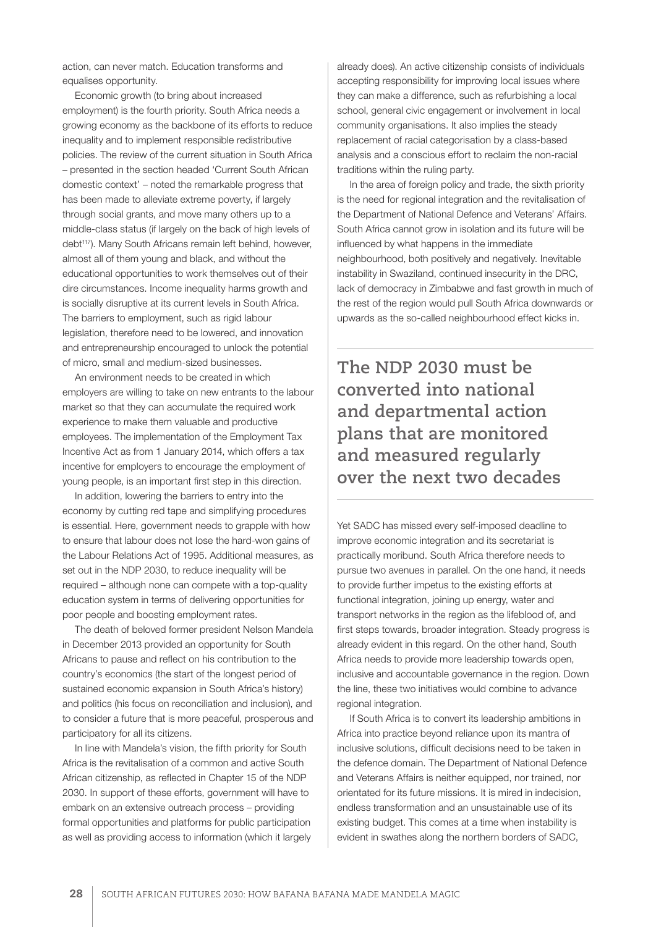action, can never match. Education transforms and equalises opportunity.

Economic growth (to bring about increased employment) is the fourth priority. South Africa needs a growing economy as the backbone of its efforts to reduce inequality and to implement responsible redistributive policies. The review of the current situation in South Africa – presented in the section headed 'Current South African domestic context' – noted the remarkable progress that has been made to alleviate extreme poverty, if largely through social grants, and move many others up to a middle-class status (if largely on the back of high levels of debt<sup>117</sup>). Many South Africans remain left behind, however, almost all of them young and black, and without the educational opportunities to work themselves out of their dire circumstances. Income inequality harms growth and is socially disruptive at its current levels in South Africa. The barriers to employment, such as rigid labour legislation, therefore need to be lowered, and innovation and entrepreneurship encouraged to unlock the potential of micro, small and medium-sized businesses.

An environment needs to be created in which employers are willing to take on new entrants to the labour market so that they can accumulate the required work experience to make them valuable and productive employees. The implementation of the Employment Tax Incentive Act as from 1 January 2014, which offers a tax incentive for employers to encourage the employment of young people, is an important first step in this direction.

In addition, lowering the barriers to entry into the economy by cutting red tape and simplifying procedures is essential. Here, government needs to grapple with how to ensure that labour does not lose the hard-won gains of the Labour Relations Act of 1995. Additional measures, as set out in the NDP 2030, to reduce inequality will be required – although none can compete with a top-quality education system in terms of delivering opportunities for poor people and boosting employment rates.

The death of beloved former president Nelson Mandela in December 2013 provided an opportunity for South Africans to pause and reflect on his contribution to the country's economics (the start of the longest period of sustained economic expansion in South Africa's history) and politics (his focus on reconciliation and inclusion), and to consider a future that is more peaceful, prosperous and participatory for all its citizens.

In line with Mandela's vision, the fifth priority for South Africa is the revitalisation of a common and active South African citizenship, as reflected in Chapter 15 of the NDP 2030. In support of these efforts, government will have to embark on an extensive outreach process – providing formal opportunities and platforms for public participation as well as providing access to information (which it largely

already does). An active citizenship consists of individuals accepting responsibility for improving local issues where they can make a difference, such as refurbishing a local school, general civic engagement or involvement in local community organisations. It also implies the steady replacement of racial categorisation by a class-based analysis and a conscious effort to reclaim the non-racial traditions within the ruling party.

In the area of foreign policy and trade, the sixth priority is the need for regional integration and the revitalisation of the Department of National Defence and Veterans' Affairs. South Africa cannot grow in isolation and its future will be influenced by what happens in the immediate neighbourhood, both positively and negatively. Inevitable instability in Swaziland, continued insecurity in the DRC, lack of democracy in Zimbabwe and fast growth in much of the rest of the region would pull South Africa downwards or upwards as the so-called neighbourhood effect kicks in.

**The NDP 2030 must be converted into national and departmental action plans that are monitored and measured regularly over the next two decades**

Yet SADC has missed every self-imposed deadline to improve economic integration and its secretariat is practically moribund. South Africa therefore needs to pursue two avenues in parallel. On the one hand, it needs to provide further impetus to the existing efforts at functional integration, joining up energy, water and transport networks in the region as the lifeblood of, and first steps towards, broader integration. Steady progress is already evident in this regard. On the other hand, South Africa needs to provide more leadership towards open, inclusive and accountable governance in the region. Down the line, these two initiatives would combine to advance regional integration.

If South Africa is to convert its leadership ambitions in Africa into practice beyond reliance upon its mantra of inclusive solutions, difficult decisions need to be taken in the defence domain. The Department of National Defence and Veterans Affairs is neither equipped, nor trained, nor orientated for its future missions. It is mired in indecision, endless transformation and an unsustainable use of its existing budget. This comes at a time when instability is evident in swathes along the northern borders of SADC,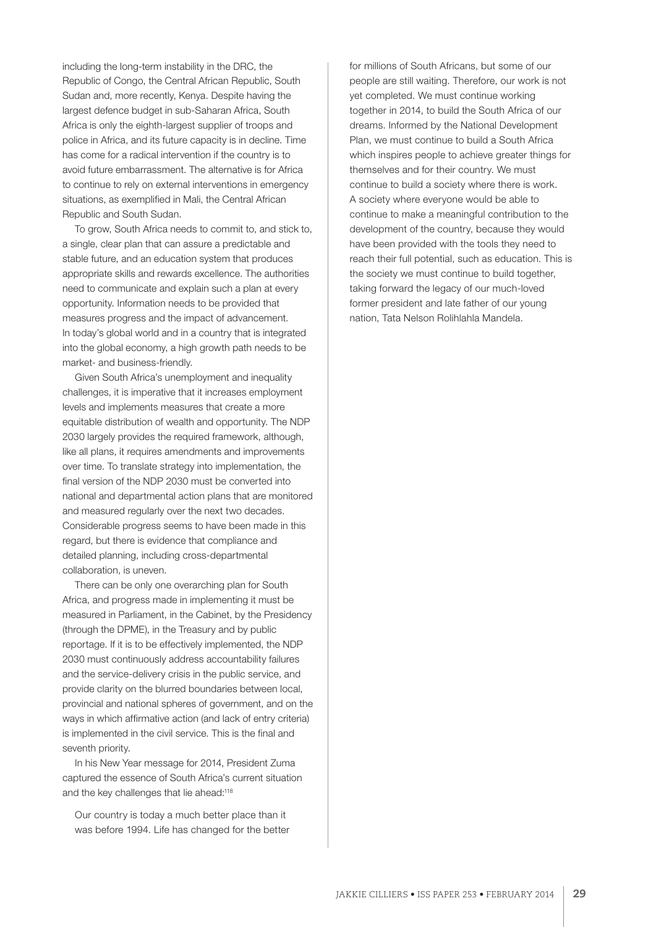including the long-term instability in the DRC, the Republic of Congo, the Central African Republic, South Sudan and, more recently, Kenya. Despite having the largest defence budget in sub-Saharan Africa, South Africa is only the eighth-largest supplier of troops and police in Africa, and its future capacity is in decline. Time has come for a radical intervention if the country is to avoid future embarrassment. The alternative is for Africa to continue to rely on external interventions in emergency situations, as exemplified in Mali, the Central African Republic and South Sudan.

To grow, South Africa needs to commit to, and stick to, a single, clear plan that can assure a predictable and stable future, and an education system that produces appropriate skills and rewards excellence. The authorities need to communicate and explain such a plan at every opportunity. Information needs to be provided that measures progress and the impact of advancement. In today's global world and in a country that is integrated into the global economy, a high growth path needs to be market- and business-friendly.

Given South Africa's unemployment and inequality challenges, it is imperative that it increases employment levels and implements measures that create a more equitable distribution of wealth and opportunity. The NDP 2030 largely provides the required framework, although, like all plans, it requires amendments and improvements over time. To translate strategy into implementation, the final version of the NDP 2030 must be converted into national and departmental action plans that are monitored and measured regularly over the next two decades. Considerable progress seems to have been made in this regard, but there is evidence that compliance and detailed planning, including cross-departmental collaboration, is uneven.

There can be only one overarching plan for South Africa, and progress made in implementing it must be measured in Parliament, in the Cabinet, by the Presidency (through the DPME), in the Treasury and by public reportage. If it is to be effectively implemented, the NDP 2030 must continuously address accountability failures and the service-delivery crisis in the public service, and provide clarity on the blurred boundaries between local, provincial and national spheres of government, and on the ways in which affirmative action (and lack of entry criteria) is implemented in the civil service. This is the final and seventh priority.

In his New Year message for 2014, President Zuma captured the essence of South Africa's current situation and the key challenges that lie ahead:<sup>118</sup>

Our country is today a much better place than it was before 1994. Life has changed for the better for millions of South Africans, but some of our people are still waiting. Therefore, our work is not yet completed. We must continue working together in 2014, to build the South Africa of our dreams. Informed by the National Development Plan, we must continue to build a South Africa which inspires people to achieve greater things for themselves and for their country. We must continue to build a society where there is work. A society where everyone would be able to continue to make a meaningful contribution to the development of the country, because they would have been provided with the tools they need to reach their full potential, such as education. This is the society we must continue to build together, taking forward the legacy of our much-loved former president and late father of our young nation, Tata Nelson Rolihlahla Mandela.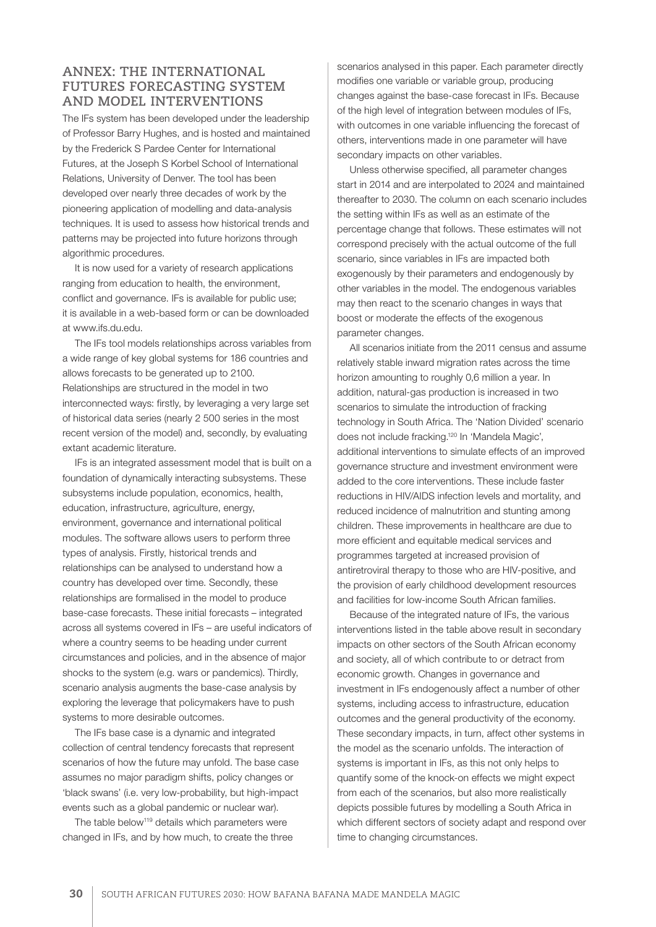# **ANNEX: THE INTERNATIONAL FUTURES FORECASTING SYSTEM AND MODEL INTERVENTIONS**

The IFs system has been developed under the leadership of Professor Barry Hughes, and is hosted and maintained by the Frederick S Pardee Center for International Futures, at the Joseph S Korbel School of International Relations, University of Denver. The tool has been developed over nearly three decades of work by the pioneering application of modelling and data-analysis techniques. It is used to assess how historical trends and patterns may be projected into future horizons through algorithmic procedures.

It is now used for a variety of research applications ranging from education to health, the environment, conflict and governance. IFs is available for public use; it is available in a web-based form or can be downloaded at www.ifs.du.edu.

The IFs tool models relationships across variables from a wide range of key global systems for 186 countries and allows forecasts to be generated up to 2100. Relationships are structured in the model in two interconnected ways: firstly, by leveraging a very large set of historical data series (nearly 2 500 series in the most recent version of the model) and, secondly, by evaluating extant academic literature.

IFs is an integrated assessment model that is built on a foundation of dynamically interacting subsystems. These subsystems include population, economics, health, education, infrastructure, agriculture, energy, environment, governance and international political modules. The software allows users to perform three types of analysis. Firstly, historical trends and relationships can be analysed to understand how a country has developed over time. Secondly, these relationships are formalised in the model to produce base-case forecasts. These initial forecasts – integrated across all systems covered in IFs – are useful indicators of where a country seems to be heading under current circumstances and policies, and in the absence of major shocks to the system (e.g. wars or pandemics). Thirdly, scenario analysis augments the base-case analysis by exploring the leverage that policymakers have to push systems to more desirable outcomes.

The IFs base case is a dynamic and integrated collection of central tendency forecasts that represent scenarios of how the future may unfold. The base case assumes no major paradigm shifts, policy changes or 'black swans' (i.e. very low-probability, but high-impact events such as a global pandemic or nuclear war).

The table below<sup>119</sup> details which parameters were changed in IFs, and by how much, to create the three scenarios analysed in this paper. Each parameter directly modifies one variable or variable group, producing changes against the base-case forecast in IFs. Because of the high level of integration between modules of IFs, with outcomes in one variable influencing the forecast of others, interventions made in one parameter will have secondary impacts on other variables.

Unless otherwise specified, all parameter changes start in 2014 and are interpolated to 2024 and maintained thereafter to 2030. The column on each scenario includes the setting within IFs as well as an estimate of the percentage change that follows. These estimates will not correspond precisely with the actual outcome of the full scenario, since variables in IFs are impacted both exogenously by their parameters and endogenously by other variables in the model. The endogenous variables may then react to the scenario changes in ways that boost or moderate the effects of the exogenous parameter changes.

All scenarios initiate from the 2011 census and assume relatively stable inward migration rates across the time horizon amounting to roughly 0,6 million a year. In addition, natural-gas production is increased in two scenarios to simulate the introduction of fracking technology in South Africa. The 'Nation Divided' scenario does not include fracking.120 In 'Mandela Magic', additional interventions to simulate effects of an improved governance structure and investment environment were added to the core interventions. These include faster reductions in HIV/AIDS infection levels and mortality, and reduced incidence of malnutrition and stunting among children. These improvements in healthcare are due to more efficient and equitable medical services and programmes targeted at increased provision of antiretroviral therapy to those who are HIV-positive, and the provision of early childhood development resources and facilities for low-income South African families.

Because of the integrated nature of IFs, the various interventions listed in the table above result in secondary impacts on other sectors of the South African economy and society, all of which contribute to or detract from economic growth. Changes in governance and investment in IFs endogenously affect a number of other systems, including access to infrastructure, education outcomes and the general productivity of the economy. These secondary impacts, in turn, affect other systems in the model as the scenario unfolds. The interaction of systems is important in IFs, as this not only helps to quantify some of the knock-on effects we might expect from each of the scenarios, but also more realistically depicts possible futures by modelling a South Africa in which different sectors of society adapt and respond over time to changing circumstances.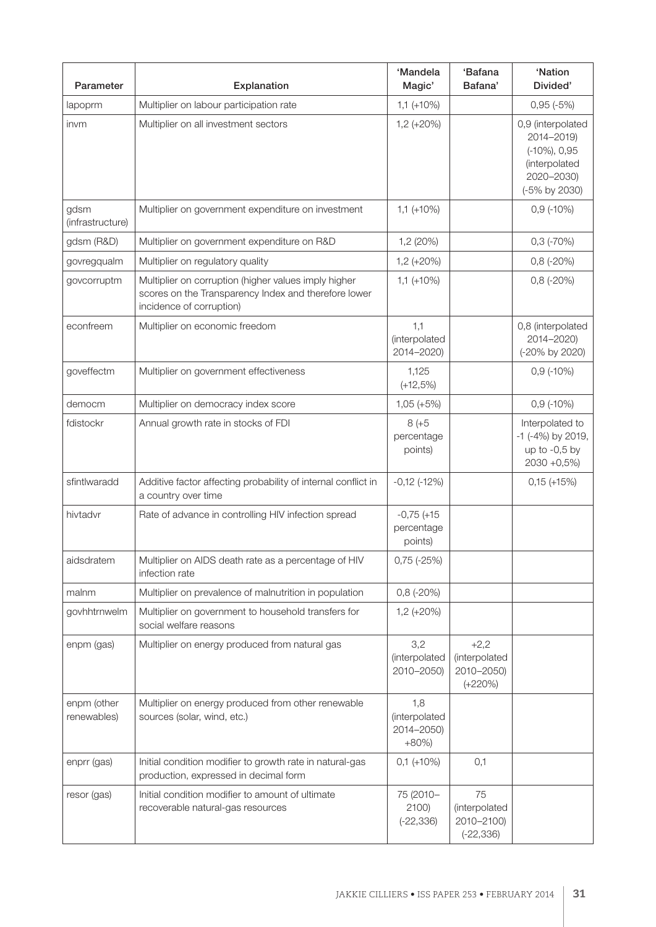| Parameter                  | Explanation                                                                                                                              | 'Mandela<br>Magic'                            | 'Bafana<br>Bafana'                                 | 'Nation<br>Divided'                                                                                 |
|----------------------------|------------------------------------------------------------------------------------------------------------------------------------------|-----------------------------------------------|----------------------------------------------------|-----------------------------------------------------------------------------------------------------|
| lapoprm                    | Multiplier on labour participation rate                                                                                                  | $1,1 (+10%)$                                  |                                                    | $0,95(-5%)$                                                                                         |
| invm                       | Multiplier on all investment sectors                                                                                                     | $1,2 (+20%)$                                  |                                                    | 0,9 (interpolated<br>2014-2019)<br>$(-10\%)$ , 0,95<br>(interpolated<br>2020-2030)<br>(-5% by 2030) |
| gdsm<br>(infrastructure)   | Multiplier on government expenditure on investment                                                                                       | $1,1 (+10%)$                                  |                                                    | $0,9(-10%)$                                                                                         |
| gdsm (R&D)                 | Multiplier on government expenditure on R&D                                                                                              | 1,2 (20%)                                     |                                                    | $0,3$ (-70%)                                                                                        |
| govregqualm                | Multiplier on regulatory quality                                                                                                         | $1,2 (+20%)$                                  |                                                    | $0,8(-20%)$                                                                                         |
| govcorruptm                | Multiplier on corruption (higher values imply higher<br>scores on the Transparency Index and therefore lower<br>incidence of corruption) | $1,1 (+10%)$                                  |                                                    | $0,8(-20%)$                                                                                         |
| econfreem                  | Multiplier on economic freedom                                                                                                           | 1,1<br>(interpolated<br>2014-2020)            |                                                    | 0,8 (interpolated<br>2014-2020)<br>(-20% by 2020)                                                   |
| goveffectm                 | Multiplier on government effectiveness                                                                                                   | 1,125<br>$(+12,5%)$                           |                                                    | $0,9$ (-10%)                                                                                        |
| democm                     | Multiplier on democracy index score                                                                                                      | $1,05 (+5%)$                                  |                                                    | $0,9(-10%)$                                                                                         |
| fdistockr                  | Annual growth rate in stocks of FDI                                                                                                      | $8 (+5)$<br>percentage<br>points)             |                                                    | Interpolated to<br>-1 (-4%) by 2019,<br>up to $-0.5$ by<br>$2030 + 0,5\%)$                          |
| sfintlwaradd               | Additive factor affecting probability of internal conflict in<br>a country over time                                                     | $-0,12$ $(-12%)$                              |                                                    | $0,15 (+15%)$                                                                                       |
| hivtadvr                   | Rate of advance in controlling HIV infection spread                                                                                      | $-0,75 (+15)$<br>percentage<br>points)        |                                                    |                                                                                                     |
| aidsdratem                 | Multiplier on AIDS death rate as a percentage of HIV<br>infection rate                                                                   | $0,75$ (-25%)                                 |                                                    |                                                                                                     |
| malnm                      | Multiplier on prevalence of malnutrition in population                                                                                   | $0,8(-20%)$                                   |                                                    |                                                                                                     |
| govhhtrnwelm               | Multiplier on government to household transfers for<br>social welfare reasons                                                            | $1,2 (+20%)$                                  |                                                    |                                                                                                     |
| enpm (gas)                 | Multiplier on energy produced from natural gas                                                                                           | 3,2<br>(interpolated<br>2010-2050)            | $+2,2$<br>(interpolated<br>2010-2050)<br>$(+220%)$ |                                                                                                     |
| enpm (other<br>renewables) | Multiplier on energy produced from other renewable<br>sources (solar, wind, etc.)                                                        | 1,8<br>(interpolated<br>2014-2050)<br>$+80\%$ |                                                    |                                                                                                     |
| enprr (gas)                | Initial condition modifier to growth rate in natural-gas<br>production, expressed in decimal form                                        | $0,1 (+10%)$                                  | 0,1                                                |                                                                                                     |
| resor (gas)                | Initial condition modifier to amount of ultimate<br>recoverable natural-gas resources                                                    | 75 (2010-<br>$2100$ )<br>$(-22, 336)$         | 75<br>(interpolated<br>2010-2100)<br>$(-22, 336)$  |                                                                                                     |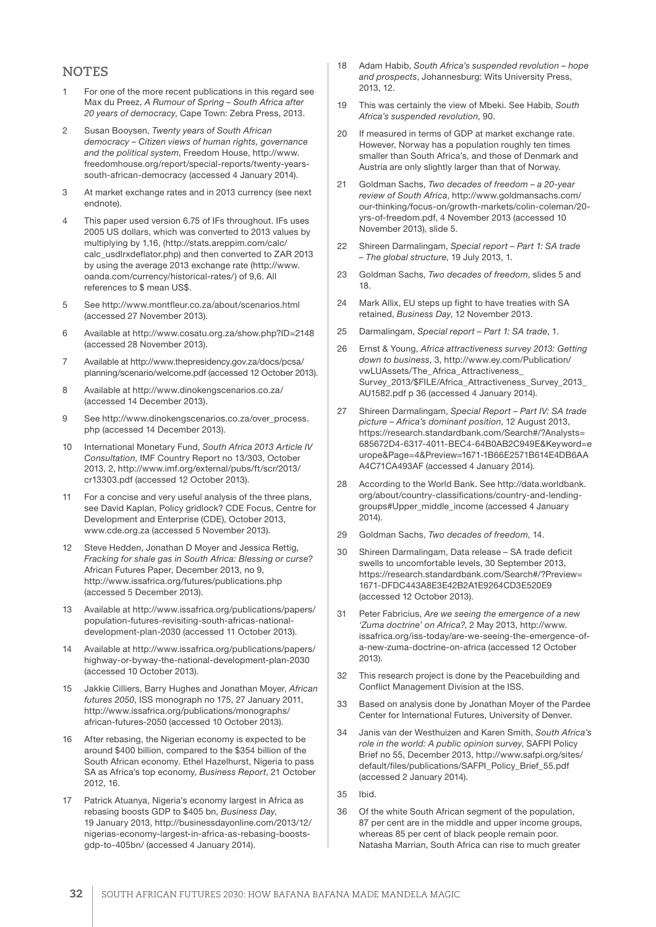#### **NOTES**

- 1 For one of the more recent publications in this regard see Max du Preez, *A Rumour of Spring – South Africa after 20 years of democracy*, Cape Town: Zebra Press, 2013.
- 2 Susan Booysen, *Twenty years of South African democracy – Citizen views of human rights, governance and the political system*, Freedom House, http://www. freedomhouse.org/report/special-reports/twenty-yearssouth-african-democracy (accessed 4 January 2014).
- 3 At market exchange rates and in 2013 currency (see next endnote).
- 4 This paper used version 6.75 of IFs throughout. IFs uses 2005 US dollars, which was converted to 2013 values by multiplying by 1,16, (http://stats.areppim.com/calc/ calc\_usdlrxdeflator.php) and then converted to ZAR 2013 by using the average 2013 exchange rate (http://www. oanda.com/currency/historical-rates/) of 9,6. All references to \$ mean US\$.
- 5 See http://www.montfleur.co.za/about/scenarios.html (accessed 27 November 2013).
- 6 Available at http://www.cosatu.org.za/show.php?ID=2148 (accessed 28 November 2013).
- 7 Available at http://www.thepresidency.gov.za/docs/pcsa/ planning/scenario/welcome.pdf (accessed 12 October 2013).
- 8 Available at http://www.dinokengscenarios.co.za/ (accessed 14 December 2013).
- 9 See http://www.dinokengscenarios.co.za/over\_process. php (accessed 14 December 2013).
- 10 International Monetary Fund, *South Africa 2013 Article IV Consultation*, IMF Country Report no 13/303, October 2013, 2, http://www.imf.org/external/pubs/ft/scr/2013/ cr13303.pdf (accessed 12 October 2013).
- 11 For a concise and very useful analysis of the three plans, see David Kaplan, Policy gridlock? CDE Focus, Centre for Development and Enterprise (CDE), October 2013, www.cde.org.za (accessed 5 November 2013).
- 12 Steve Hedden, Jonathan D Moyer and Jessica Rettig, *Fracking for shale gas in South Africa: Blessing or curse?* African Futures Paper, December 2013, no 9, http://www.issafrica.org/futures/publications.php (accessed 5 December 2013).
- 13 Available at http://www.issafrica.org/publications/papers/ population-futures-revisiting-south-africas-nationaldevelopment-plan-2030 (accessed 11 October 2013).
- 14 Available at http://www.issafrica.org/publications/papers/ highway-or-byway-the-national-development-plan-2030 (accessed 10 October 2013).
- 15 Jakkie Cilliers, Barry Hughes and Jonathan Moyer, *African futures 2050*, ISS monograph no 175, 27 January 2011, http://www.issafrica.org/publications/monographs/ african-futures-2050 (accessed 10 October 2013).
- 16 After rebasing, the Nigerian economy is expected to be around \$400 billion, compared to the \$354 billion of the South African economy. Ethel Hazelhurst, Nigeria to pass SA as Africa's top economy, *Business Report*, 21 October 2012, 16.
- 17 Patrick Atuanya, Nigeria's economy largest in Africa as rebasing boosts GDP to \$405 bn, *Business Day*, 19 January 2013, http://businessdayonline.com/2013/12/ nigerias-economy-largest-in-africa-as-rebasing-boostsgdp-to-405bn/ (accessed 4 January 2014).
- 18 Adam Habib, *South Africa's suspended revolution hope and prospects*, Johannesburg: Wits University Press, 2013, 12.
- 19 This was certainly the view of Mbeki. See Habib, *South Africa's suspended revolution*, 90.
- 20 If measured in terms of GDP at market exchange rate. However, Norway has a population roughly ten times smaller than South Africa's, and those of Denmark and Austria are only slightly larger than that of Norway.
- 21 Goldman Sachs, *Two decades of freedom a 20-year review of South Africa*, http://www.goldmansachs.com/ our-thinking/focus-on/growth-markets/colin-coleman/20 yrs-of-freedom.pdf, 4 November 2013 (accessed 10 November 2013), slide 5.
- 22 Shireen Darmalingam, *Special report Part 1: SA trade – The global structure*, 19 July 2013, 1.
- 23 Goldman Sachs, *Two decades of freedom*, slides 5 and 18.
- 24 Mark Allix, EU steps up fight to have treaties with SA retained, *Business Day*, 12 November 2013.
- 25 Darmalingam, *Special report Part 1: SA trade*, 1.
- 26 Ernst & Young, *Africa attractiveness survey 2013: Getting down to business*, 3, http://www.ey.com/Publication/ vwLUAssets/The\_Africa\_Attractiveness\_ Survey\_2013/\$FILE/Africa\_Attractiveness\_Survey\_2013\_ AU1582.pdf p 36 (accessed 4 January 2014).
- 27 Shireen Darmalingam, *Special Report Part IV: SA trade picture – Africa's dominant position*, 12 August 2013, https://research.standardbank.com/Search#/?Analysts= 685672D4-6317-4011-BEC4-64B0AB2C949E&Keyword=e urope&Page=4&Preview=1671-1B66E2571B614E4DB6AA A4C71CA493AF (accessed 4 January 2014).
- 28 According to the World Bank. See http://data.worldbank. org/about/country-classifications/country-and-lendinggroups#Upper\_middle\_income (accessed 4 January  $2014$
- 29 Goldman Sachs, *Two decades of freedom*, 14.
- 30 Shireen Darmalingam, Data release SA trade deficit swells to uncomfortable levels, 30 September 2013, https://research.standardbank.com/Search#/?Preview= 1671-DFDC443A8E3E42B2A1E9264CD3E520E9 (accessed 12 October 2013).
- 31 Peter Fabricius, *Are we seeing the emergence of a new 'Zuma doctrine' on Africa?*, 2 May 2013, http://www. issafrica.org/iss-today/are-we-seeing-the-emergence-ofa-new-zuma-doctrine-on-africa (accessed 12 October 2013).
- 32 This research project is done by the Peacebuilding and Conflict Management Division at the ISS.
- 33 Based on analysis done by Jonathan Moyer of the Pardee Center for International Futures, University of Denver.
- 34 Janis van der Westhuizen and Karen Smith, *South Africa's role in the world: A public opinion survey*, SAFPI Policy Brief no 55, December 2013, http://www.safpi.org/sites/ default/files/publications/SAFPI\_Policy\_Brief\_55.pdf (accessed 2 January 2014).
- 35 Ibid.
- 36 Of the white South African segment of the population, 87 per cent are in the middle and upper income groups, whereas 85 per cent of black people remain poor. Natasha Marrian, South Africa can rise to much greater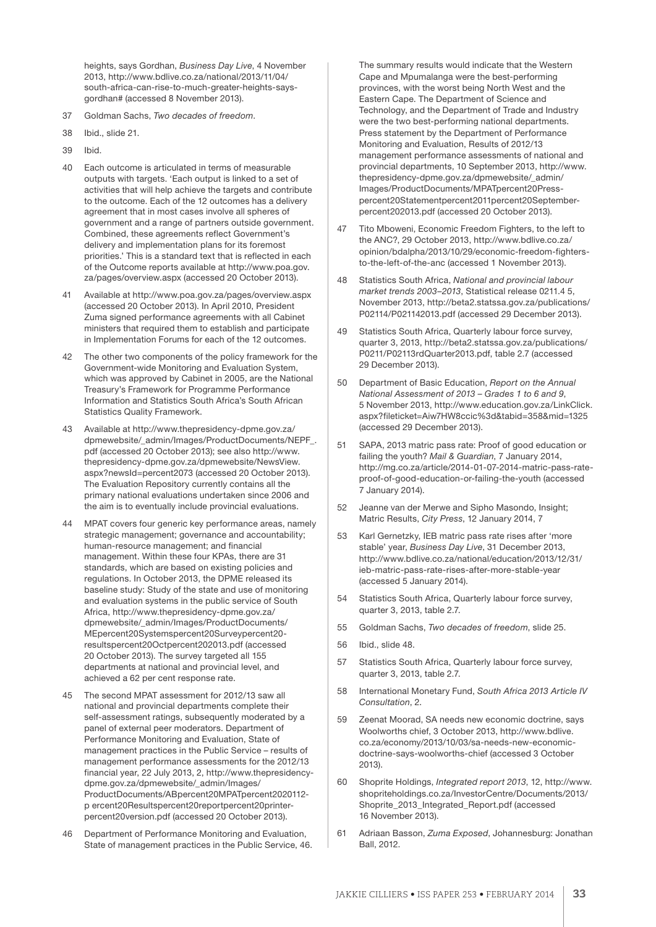heights, says Gordhan, *Business Day Live*, 4 November 2013, http://www.bdlive.co.za/national/2013/11/04/ south-africa-can-rise-to-much-greater-heights-saysgordhan# (accessed 8 November 2013).

- 37 Goldman Sachs, *Two decades of freedom*.
- 38 Ibid., slide 21.
- 39 Ibid.
- 40 Each outcome is articulated in terms of measurable outputs with targets. 'Each output is linked to a set of activities that will help achieve the targets and contribute to the outcome. Each of the 12 outcomes has a delivery agreement that in most cases involve all spheres of government and a range of partners outside government. Combined, these agreements reflect Government's delivery and implementation plans for its foremost priorities.' This is a standard text that is reflected in each of the Outcome reports available at http://www.poa.gov. za/pages/overview.aspx (accessed 20 October 2013).
- 41 Available at http://www.poa.gov.za/pages/overview.aspx (accessed 20 October 2013). In April 2010, President Zuma signed performance agreements with all Cabinet ministers that required them to establish and participate in Implementation Forums for each of the 12 outcomes.
- 42 The other two components of the policy framework for the Government-wide Monitoring and Evaluation System, which was approved by Cabinet in 2005, are the National Treasury's Framework for Programme Performance Information and Statistics South Africa's South African Statistics Quality Framework.
- 43 Available at http://www.thepresidency-dpme.gov.za/ dpmewebsite/\_admin/Images/ProductDocuments/NEPF\_. pdf (accessed 20 October 2013); see also http://www. thepresidency-dpme.gov.za/dpmewebsite/NewsView. aspx?newsId=percent2073 (accessed 20 October 2013). The Evaluation Repository currently contains all the primary national evaluations undertaken since 2006 and the aim is to eventually include provincial evaluations.
- 44 MPAT covers four generic key performance areas, namely strategic management; governance and accountability; human-resource management; and financial management. Within these four KPAs, there are 31 standards, which are based on existing policies and regulations. In October 2013, the DPME released its baseline study: Study of the state and use of monitoring and evaluation systems in the public service of South Africa, http://www.thepresidency-dpme.gov.za/ dpmewebsite/\_admin/Images/ProductDocuments/ MEpercent20Systemspercent20Surveypercent20 resultspercent20Octpercent202013.pdf (accessed 20 October 2013). The survey targeted all 155 departments at national and provincial level, and achieved a 62 per cent response rate.
- 45 The second MPAT assessment for 2012/13 saw all national and provincial departments complete their self-assessment ratings, subsequently moderated by a panel of external peer moderators. Department of Performance Monitoring and Evaluation, State of management practices in the Public Service – results of management performance assessments for the 2012/13 financial year, 22 July 2013, 2, http://www.thepresidencydpme.gov.za/dpmewebsite/\_admin/Images/ ProductDocuments/ABpercent20MPATpercent2020112 p ercent20Resultspercent20reportpercent20printerpercent20version.pdf (accessed 20 October 2013).
- 46 Department of Performance Monitoring and Evaluation, State of management practices in the Public Service, 46.

The summary results would indicate that the Western Cape and Mpumalanga were the best-performing provinces, with the worst being North West and the Eastern Cape. The Department of Science and Technology, and the Department of Trade and Industry were the two best-performing national departments. Press statement by the Department of Performance Monitoring and Evaluation, Results of 2012/13 management performance assessments of national and provincial departments, 10 September 2013, http://www. thepresidency-dpme.gov.za/dpmewebsite/\_admin/ Images/ProductDocuments/MPATpercent20Presspercent20Statementpercent2011percent20Septemberpercent202013.pdf (accessed 20 October 2013).

- 47 Tito Mboweni, Economic Freedom Fighters, to the left to the ANC?, 29 October 2013, http://www.bdlive.co.za/ opinion/bdalpha/2013/10/29/economic-freedom-fightersto-the-left-of-the-anc (accessed 1 November 2013).
- 48 Statistics South Africa, *National and provincial labour market trends 2003–2013*, Statistical release 0211.4 5, November 2013, http://beta2.statssa.gov.za/publications/ P02114/P021142013.pdf (accessed 29 December 2013).
- 49 Statistics South Africa, Quarterly labour force survey, quarter 3, 2013, http://beta2.statssa.gov.za/publications/ P0211/P02113rdQuarter2013.pdf, table 2.7 (accessed 29 December 2013).
- 50 Department of Basic Education, *Report on the Annual National Assessment of 2013 – Grades 1 to 6 and 9*, 5 November 2013, http://www.education.gov.za/LinkClick. aspx?fileticket=Aiw7HW8ccic%3d&tabid=358&mid=1325 (accessed 29 December 2013).
- 51 SAPA, 2013 matric pass rate: Proof of good education or failing the youth? *Mail & Guardian*, 7 January 2014, http://mg.co.za/article/2014-01-07-2014-matric-pass-rateproof-of-good-education-or-failing-the-youth (accessed 7 January 2014).
- 52 Jeanne van der Merwe and Sipho Masondo, Insight; Matric Results, *City Press*, 12 January 2014, 7
- 53 Karl Gernetzky, IEB matric pass rate rises after 'more stable' year, *Business Day Live*, 31 December 2013, http://www.bdlive.co.za/national/education/2013/12/31/ ieb-matric-pass-rate-rises-after-more-stable-year (accessed 5 January 2014).
- 54 Statistics South Africa, Quarterly labour force survey, quarter 3, 2013, table 2.7.
- 55 Goldman Sachs, *Two decades of freedom*, slide 25.
- 56 Ibid., slide 48.
- 57 Statistics South Africa, Quarterly labour force survey, quarter 3, 2013, table 2.7.
- 58 International Monetary Fund, *South Africa 2013 Article IV Consultation*, 2.
- 59 Zeenat Moorad, SA needs new economic doctrine, says Woolworths chief, 3 October 2013, http://www.bdlive. co.za/economy/2013/10/03/sa-needs-new-economicdoctrine-says-woolworths-chief (accessed 3 October 2013).
- 60 Shoprite Holdings, *Integrated report 2013*, 12, http://www. shopriteholdings.co.za/InvestorCentre/Documents/2013/ Shoprite\_2013\_Integrated\_Report.pdf (accessed 16 November 2013).
- 61 Adriaan Basson, *Zuma Exposed*, Johannesburg: Jonathan Ball, 2012.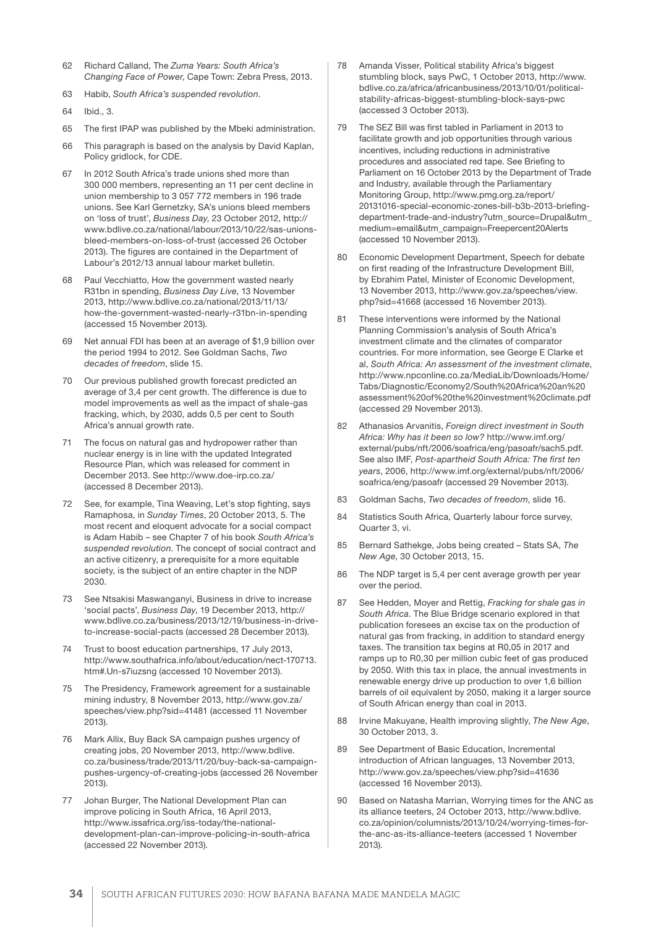- 62 Richard Calland, The *Zuma Years: South Africa's Changing Face of Power*, Cape Town: Zebra Press, 2013.
- 63 Habib, *South Africa's suspended revolution*.
- 64 Ibid., 3.
- 65 The first IPAP was published by the Mbeki administration.
- 66 This paragraph is based on the analysis by David Kaplan, Policy gridlock, for CDE.
- 67 In 2012 South Africa's trade unions shed more than 300 000 members, representing an 11 per cent decline in union membership to 3 057 772 members in 196 trade unions. See Karl Gernetzky, SA's unions bleed members on 'loss of trust', *Business Day*, 23 October 2012, http:// www.bdlive.co.za/national/labour/2013/10/22/sas-unionsbleed-members-on-loss-of-trust (accessed 26 October 2013). The figures are contained in the Department of Labour's 2012/13 annual labour market bulletin.
- 68 Paul Vecchiatto, How the government wasted nearly R31bn in spending, *Business Day Live*, 13 November 2013, http://www.bdlive.co.za/national/2013/11/13/ how-the-government-wasted-nearly-r31bn-in-spending (accessed 15 November 2013).
- 69 Net annual FDI has been at an average of \$1,9 billion over the period 1994 to 2012. See Goldman Sachs, *Two decades of freedom*, slide 15.
- 70 Our previous published growth forecast predicted an average of 3,4 per cent growth. The difference is due to model improvements as well as the impact of shale-gas fracking, which, by 2030, adds 0,5 per cent to South Africa's annual growth rate.
- 71 The focus on natural gas and hydropower rather than nuclear energy is in line with the updated Integrated Resource Plan, which was released for comment in December 2013. See http://www.doe-irp.co.za/ (accessed 8 December 2013).
- 72 See, for example, Tina Weaving, Let's stop fighting, says Ramaphosa, in *Sunday Times*, 20 October 2013, 5. The most recent and eloquent advocate for a social compact is Adam Habib – see Chapter 7 of his book *South Africa's suspended revolution*. The concept of social contract and an active citizenry, a prerequisite for a more equitable society, is the subject of an entire chapter in the NDP 2030.
- 73 See Ntsakisi Maswanganyi, Business in drive to increase 'social pacts', *Business Day*, 19 December 2013, http:// www.bdlive.co.za/business/2013/12/19/business-in-driveto-increase-social-pacts (accessed 28 December 2013).
- Trust to boost education partnerships, 17 July 2013, http://www.southafrica.info/about/education/nect-170713. htm#.Un-s7iuzsng (accessed 10 November 2013).
- 75 The Presidency, Framework agreement for a sustainable mining industry, 8 November 2013, http://www.gov.za/ speeches/view.php?sid=41481 (accessed 11 November 2013).
- 76 Mark Allix, Buy Back SA campaign pushes urgency of creating jobs, 20 November 2013, http://www.bdlive. co.za/business/trade/2013/11/20/buy-back-sa-campaignpushes-urgency-of-creating-jobs (accessed 26 November 2013).
- 77 Johan Burger, The National Development Plan can improve policing in South Africa, 16 April 2013, http://www.issafrica.org/iss-today/the-nationaldevelopment-plan-can-improve-policing-in-south-africa (accessed 22 November 2013).
- 78 Amanda Visser, Political stability Africa's biggest stumbling block, says PwC, 1 October 2013, http://www. bdlive.co.za/africa/africanbusiness/2013/10/01/politicalstability-africas-biggest-stumbling-block-says-pwc (accessed 3 October 2013).
- 79 The SEZ Bill was first tabled in Parliament in 2013 to facilitate growth and job opportunities through various incentives, including reductions in administrative procedures and associated red tape. See Briefing to Parliament on 16 October 2013 by the Department of Trade and Industry, available through the Parliamentary Monitoring Group, http://www.pmg.org.za/report/ 20131016-special-economic-zones-bill-b3b-2013-briefingdepartment-trade-and-industry?utm\_source=Drupal&utm\_ medium=email&utm\_campaign=Freepercent20Alerts (accessed 10 November 2013).
- 80 Economic Development Department, Speech for debate on first reading of the Infrastructure Development Bill, by Ebrahim Patel, Minister of Economic Development, 13 November 2013, http://www.gov.za/speeches/view. php?sid=41668 (accessed 16 November 2013).
- 81 These interventions were informed by the National Planning Commission's analysis of South Africa's investment climate and the climates of comparator countries. For more information, see George E Clarke et al, *South Africa: An assessment of the investment climate*, http://www.npconline.co.za/MediaLib/Downloads/Home/ Tabs/Diagnostic/Economy2/South%20Africa%20an%20 assessment%20of%20the%20investment%20climate.pdf (accessed 29 November 2013).
- 82 Athanasios Arvanitis, *Foreign direct investment in South Africa: Why has it been so low?* http://www.imf.org/ external/pubs/nft/2006/soafrica/eng/pasoafr/sach5.pdf. See also IMF, *Post-apartheid South Africa: The first ten years*, 2006, http://www.imf.org/external/pubs/nft/2006/ soafrica/eng/pasoafr (accessed 29 November 2013).
- 83 Goldman Sachs, *Two decades of freedom*, slide 16.
- 84 Statistics South Africa, Quarterly labour force survey, Quarter 3, vi.
- 85 Bernard Sathekge, Jobs being created Stats SA, *The New Age*, 30 October 2013, 15.
- 86 The NDP target is 5,4 per cent average growth per year over the period.
- 87 See Hedden, Moyer and Rettig, *Fracking for shale gas in South Africa*. The Blue Bridge scenario explored in that publication foresees an excise tax on the production of natural gas from fracking, in addition to standard energy taxes. The transition tax begins at R0,05 in 2017 and ramps up to R0,30 per million cubic feet of gas produced by 2050. With this tax in place, the annual investments in renewable energy drive up production to over 1,6 billion barrels of oil equivalent by 2050, making it a larger source of South African energy than coal in 2013.
- 88 Irvine Makuyane, Health improving slightly, *The New Age*, 30 October 2013, 3.
- 89 See Department of Basic Education, Incremental introduction of African languages, 13 November 2013, http://www.gov.za/speeches/view.php?sid=41636 (accessed 16 November 2013).
- 90 Based on Natasha Marrian, Worrying times for the ANC as its alliance teeters, 24 October 2013, http://www.bdlive. co.za/opinion/columnists/2013/10/24/worrying-times-forthe-anc-as-its-alliance-teeters (accessed 1 November 2013).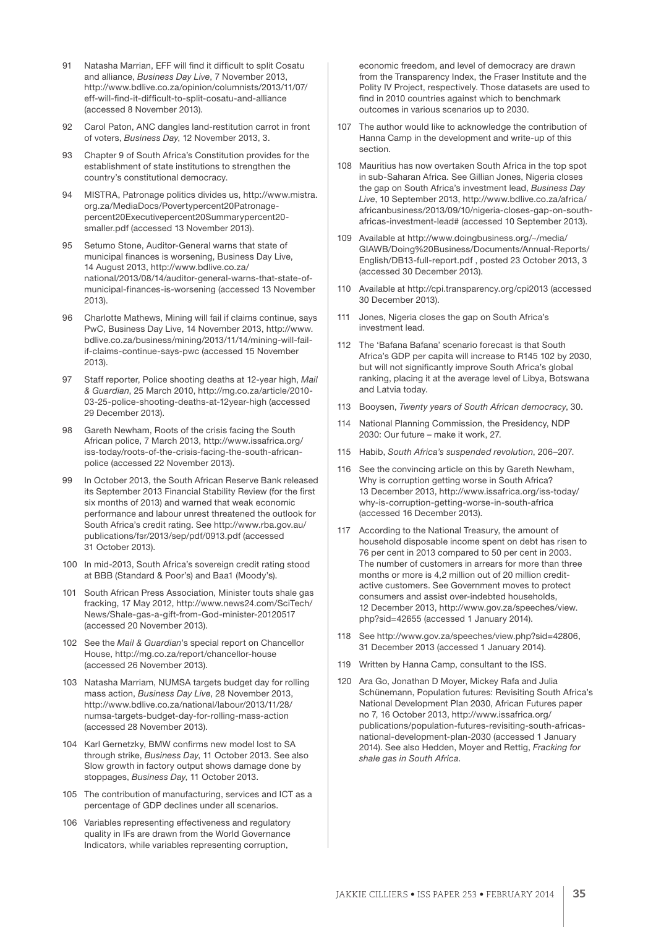- 91 Natasha Marrian, EFF will find it difficult to split Cosatu and alliance, *Business Day Live*, 7 November 2013, http://www.bdlive.co.za/opinion/columnists/2013/11/07/ eff-will-find-it-difficult-to-split-cosatu-and-alliance (accessed 8 November 2013).
- Carol Paton, ANC dangles land-restitution carrot in front of voters, *Business Day*, 12 November 2013, 3.
- 93 Chapter 9 of South Africa's Constitution provides for the establishment of state institutions to strengthen the country's constitutional democracy.
- 94 MISTRA, Patronage politics divides us, http://www.mistra. org.za/MediaDocs/Povertypercent20Patronagepercent20Executivepercent20Summarypercent20 smaller.pdf (accessed 13 November 2013).
- 95 Setumo Stone, Auditor-General warns that state of municipal finances is worsening, Business Day Live, 14 August 2013, http://www.bdlive.co.za/ national/2013/08/14/auditor-general-warns-that-state-ofmunicipal-finances-is-worsening (accessed 13 November 2013).
- 96 Charlotte Mathews, Mining will fail if claims continue, says PwC, Business Day Live, 14 November 2013, http://www. bdlive.co.za/business/mining/2013/11/14/mining-will-failif-claims-continue-says-pwc (accessed 15 November 2013).
- 97 Staff reporter, Police shooting deaths at 12-year high, *Mail & Guardian*, 25 March 2010, http://mg.co.za/article/2010- 03-25-police-shooting-deaths-at-12year-high (accessed 29 December 2013).
- 98 Gareth Newham, Roots of the crisis facing the South African police, 7 March 2013, http://www.issafrica.org/ iss-today/roots-of-the-crisis-facing-the-south-africanpolice (accessed 22 November 2013).
- 99 In October 2013, the South African Reserve Bank released its September 2013 Financial Stability Review (for the first six months of 2013) and warned that weak economic performance and labour unrest threatened the outlook for South Africa's credit rating. See http://www.rba.gov.au/ publications/fsr/2013/sep/pdf/0913.pdf (accessed 31 October 2013).
- 100 In mid-2013, South Africa's sovereign credit rating stood at BBB (Standard & Poor's) and Baa1 (Moody's).
- 101 South African Press Association, Minister touts shale gas fracking, 17 May 2012, http://www.news24.com/SciTech/ News/Shale-gas-a-gift-from-God-minister-20120517 (accessed 20 November 2013).
- 102 See the *Mail & Guardian*'s special report on Chancellor House, http://mg.co.za/report/chancellor-house (accessed 26 November 2013).
- 103 Natasha Marriam, NUMSA targets budget day for rolling mass action, *Business Day Live*, 28 November 2013, http://www.bdlive.co.za/national/labour/2013/11/28/ numsa-targets-budget-day-for-rolling-mass-action (accessed 28 November 2013).
- 104 Karl Gernetzky, BMW confirms new model lost to SA through strike, *Business Day*, 11 October 2013. See also Slow growth in factory output shows damage done by stoppages, *Business Day*, 11 October 2013.
- 105 The contribution of manufacturing, services and ICT as a percentage of GDP declines under all scenarios.
- 106 Variables representing effectiveness and regulatory quality in IFs are drawn from the World Governance Indicators, while variables representing corruption,

economic freedom, and level of democracy are drawn from the Transparency Index, the Fraser Institute and the Polity IV Project, respectively. Those datasets are used to find in 2010 countries against which to benchmark outcomes in various scenarios up to 2030.

- 107 The author would like to acknowledge the contribution of Hanna Camp in the development and write-up of this section.
- 108 Mauritius has now overtaken South Africa in the top spot in sub-Saharan Africa. See Gillian Jones, Nigeria closes the gap on South Africa's investment lead, *Business Day Live*, 10 September 2013, http://www.bdlive.co.za/africa/ africanbusiness/2013/09/10/nigeria-closes-gap-on-southafricas-investment-lead# (accessed 10 September 2013).
- 109 Available at http://www.doingbusiness.org/~/media/ GIAWB/Doing%20Business/Documents/Annual-Reports/ English/DB13-full-report.pdf , posted 23 October 2013, 3 (accessed 30 December 2013).
- 110 Available at http://cpi.transparency.org/cpi2013 (accessed 30 December 2013).
- 111 Jones, Nigeria closes the gap on South Africa's investment lead.
- 112 The 'Bafana Bafana' scenario forecast is that South Africa's GDP per capita will increase to R145 102 by 2030, but will not significantly improve South Africa's global ranking, placing it at the average level of Libya, Botswana and Latvia today.
- 113 Booysen, *Twenty years of South African democracy*, 30.
- 114 National Planning Commission, the Presidency, NDP 2030: Our future – make it work, 27.
- 115 Habib, *South Africa's suspended revolution*, 206–207.
- 116 See the convincing article on this by Gareth Newham, Why is corruption getting worse in South Africa? 13 December 2013, http://www.issafrica.org/iss-today/ why-is-corruption-getting-worse-in-south-africa (accessed 16 December 2013).
- 117 According to the National Treasury, the amount of household disposable income spent on debt has risen to 76 per cent in 2013 compared to 50 per cent in 2003. The number of customers in arrears for more than three months or more is 4,2 million out of 20 million creditactive customers. See Government moves to protect consumers and assist over-indebted households, 12 December 2013, http://www.gov.za/speeches/view. php?sid=42655 (accessed 1 January 2014).
- 118 See http://www.gov.za/speeches/view.php?sid=42806, 31 December 2013 (accessed 1 January 2014).
- 119 Written by Hanna Camp, consultant to the ISS.
- 120 Ara Go, Jonathan D Moyer, Mickey Rafa and Julia Schünemann, Population futures: Revisiting South Africa's National Development Plan 2030, African Futures paper no 7, 16 October 2013, http://www.issafrica.org/ publications/population-futures-revisiting-south-africasnational-development-plan-2030 (accessed 1 January 2014). See also Hedden, Moyer and Rettig, *Fracking for shale gas in South Africa*.